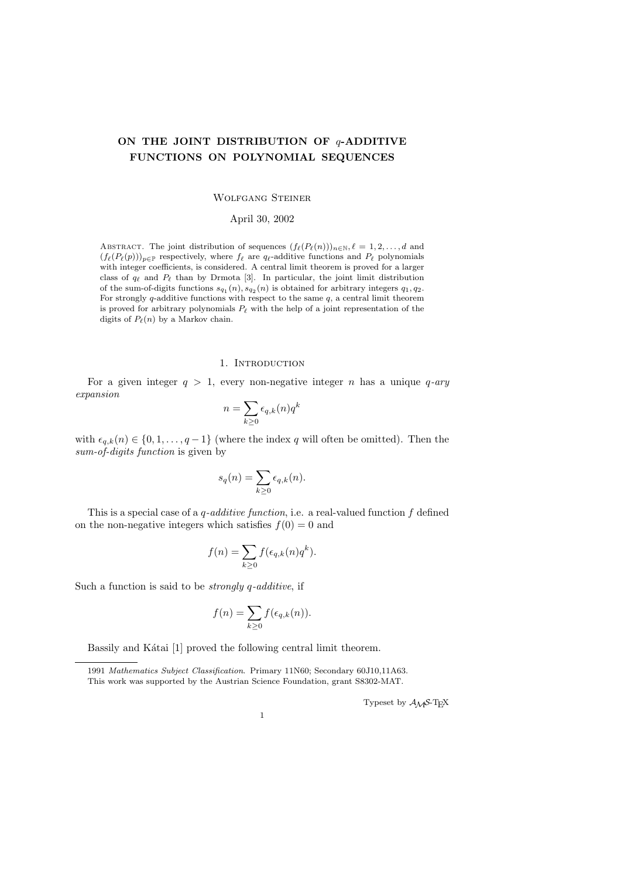# ON THE JOINT DISTRIBUTION OF  $q$ -ADDITIVE FUNCTIONS ON POLYNOMIAL SEQUENCES

#### Wolfgang Steiner

April 30, 2002

ABSTRACT. The joint distribution of sequences  $(f_{\ell}(P_{\ell}(n)))_{n\in\mathbb{N}}, \ell = 1, 2, \ldots, d$  and  $(f_{\ell}(P_{\ell}(p)))_{p\in\mathbb{P}}$  respectively, where  $f_{\ell}$  are  $q_{\ell}$ -additive functions and  $P_{\ell}$  polynomials with integer coefficients, is considered. A central limit theorem is proved for a larger class of  $q_\ell$  and  $P_\ell$  than by Drmota [3]. In particular, the joint limit distribution of the sum-of-digits functions  $s_{q_1}(n)$ ,  $s_{q_2}(n)$  is obtained for arbitrary integers  $q_1, q_2$ . For strongly q-additive functions with respect to the same  $q$ , a central limit theorem is proved for arbitrary polynomials  $P_\ell$  with the help of a joint representation of the digits of  $P_{\ell}(n)$  by a Markov chain.

### 1. INTRODUCTION

For a given integer  $q > 1$ , every non-negative integer n has a unique q-ary expansion

$$
n = \sum_{k \ge 0} \epsilon_{q,k}(n) q^k
$$

with  $\epsilon_{q,k}(n) \in \{0, 1, \ldots, q-1\}$  (where the index q will often be omitted). Then the sum-of-digits function is given by

$$
s_q(n) = \sum_{k \ge 0} \epsilon_{q,k}(n).
$$

This is a special case of a  $q$ -additive function, i.e. a real-valued function f defined on the non-negative integers which satisfies  $f(0) = 0$  and

$$
f(n) = \sum_{k \ge 0} f(\epsilon_{q,k}(n)q^k).
$$

Such a function is said to be *strongly*  $q$ -additive, if

$$
f(n) = \sum_{k \ge 0} f(\epsilon_{q,k}(n)).
$$

Bassily and Kátai [1] proved the following central limit theorem.

Typeset by  $\mathcal{A}\mathcal{M}$ S-TEX

<sup>1991</sup> Mathematics Subject Classification. Primary 11N60; Secondary 60J10,11A63. This work was supported by the Austrian Science Foundation, grant S8302-MAT.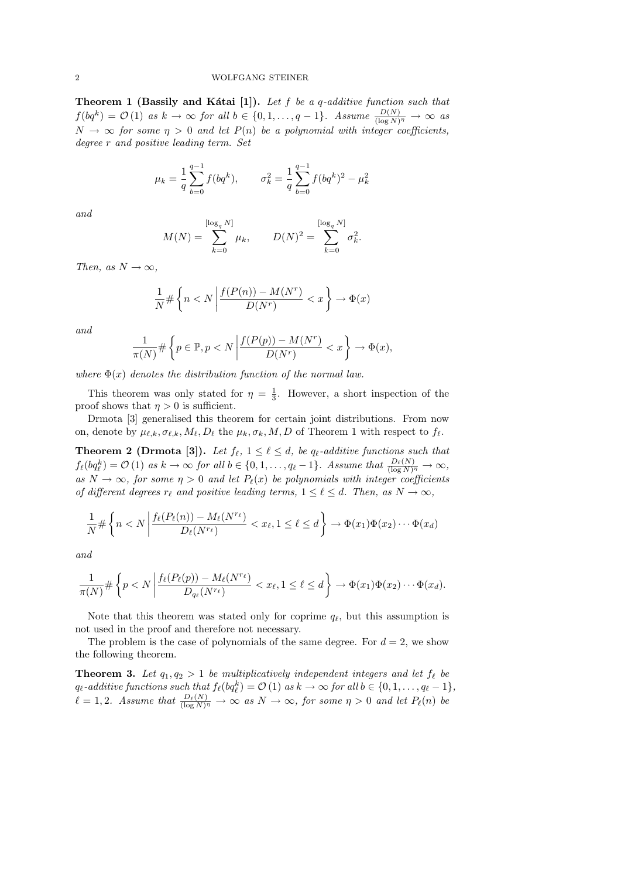Theorem 1 (Bassily and Kátai [1]). Let  $f$  be a  $q$ -additive function such that  $f(bq^k) = \mathcal{O}(1)$  as  $k \to \infty$  for all  $b \in \{0, 1, \ldots, q-1\}$ . Assume  $\frac{D(N)}{(\log N)^{\eta}} \to \infty$  as  $N \to \infty$  for some  $\eta > 0$  and let  $P(n)$  be a polynomial with integer coefficients, degree r and positive leading term. Set

$$
\mu_k = \frac{1}{q} \sum_{b=0}^{q-1} f(bq^k), \qquad \sigma_k^2 = \frac{1}{q} \sum_{b=0}^{q-1} f(bq^k)^2 - \mu_k^2
$$

and

$$
M(N) = \sum_{k=0}^{\lfloor \log_q N \rfloor} \mu_k, \qquad D(N)^2 = \sum_{k=0}^{\lfloor \log_q N \rfloor} \sigma_k^2.
$$

Then, as  $N \to \infty$ ,

$$
\frac{1}{N} \# \left\{ n < N \left| \frac{f(P(n)) - M(N^r)}{D(N^r)} < x \right. \right\} \to \Phi(x)
$$

and

$$
\frac{1}{\pi(N)} \# \left\{ p \in \mathbb{P}, p < N \left| \frac{f(P(p)) - M(N^r)}{D(N^r)} < x \right. \right\} \to \Phi(x),
$$

where  $\Phi(x)$  denotes the distribution function of the normal law.

This theorem was only stated for  $\eta = \frac{1}{3}$ . However, a short inspection of the proof shows that  $\eta > 0$  is sufficient.

Drmota [3] generalised this theorem for certain joint distributions. From now on, denote by  $\mu_{\ell,k}, \sigma_{\ell,k}, M_{\ell}, D_{\ell}$  the  $\mu_k, \sigma_k, M, D$  of Theorem 1 with respect to  $f_{\ell}$ .

**Theorem 2 (Drmota [3]).** Let  $f_{\ell}$ ,  $1 \leq \ell \leq d$ , be  $q_{\ell}$ -additive functions such that  $f_{\ell}(bq_{\ell}^k) = \mathcal{O}(1)$  as  $k \to \infty$  for all  $b \in \{0, 1, \ldots, q_{\ell} - 1\}$ . Assume that  $\frac{D_{\ell}(N)}{(\log N)^{\eta}} \to \infty$ , as  $N \to \infty$ , for some  $\eta > 0$  and let  $P_{\ell}(x)$  be polynomials with integer coefficients of different degrees  $r_{\ell}$  and positive leading terms,  $1 \leq \ell \leq d$ . Then, as  $N \to \infty$ ,

$$
\frac{1}{N} \# \left\{ n < N \left| \frac{f_{\ell}(P_{\ell}(n)) - M_{\ell}(N^{r_{\ell}})}{D_{\ell}(N^{r_{\ell}})} < x_{\ell}, 1 \leq \ell \leq d \right.\right\} \to \Phi(x_1) \Phi(x_2) \cdots \Phi(x_d)
$$

and

$$
\frac{1}{\pi(N)} \# \left\{ p < N \left| \frac{f_{\ell}(P_{\ell}(p)) - M_{\ell}(N^{r_{\ell}})}{D_{q_{\ell}}(N^{r_{\ell}})} < x_{\ell}, 1 \leq \ell \leq d \right.\right\} \to \Phi(x_1)\Phi(x_2)\cdots\Phi(x_d).
$$

Note that this theorem was stated only for coprime  $q_\ell$ , but this assumption is not used in the proof and therefore not necessary.

The problem is the case of polynomials of the same degree. For  $d = 2$ , we show the following theorem.

**Theorem 3.** Let  $q_1, q_2 > 1$  be multiplicatively independent integers and let  $f_\ell$  be  $q_{\ell}$ -additive functions such that  $f_{\ell}(bq_{\ell}^k) = \mathcal{O} (1)$  as  $k \to \infty$  for all  $b \in \{0, 1, \ldots, q_{\ell} - 1\},$  $\ell = 1, 2$ . Assume that  $\frac{D_{\ell}(N)}{(\log N)^{\eta}} \to \infty$  as  $N \to \infty$ , for some  $\eta > 0$  and let  $P_{\ell}(n)$  be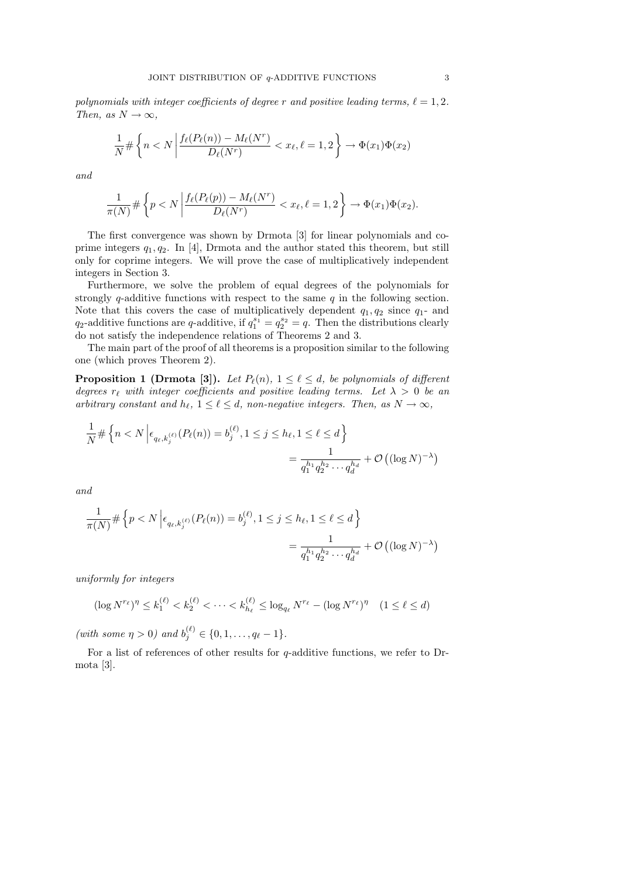polynomials with integer coefficients of degree r and positive leading terms,  $\ell = 1, 2$ . Then, as  $N \to \infty$ ,

$$
\frac{1}{N} \# \left\{ n < N \left| \frac{f_{\ell}(P_{\ell}(n)) - M_{\ell}(N^r)}{D_{\ell}(N^r)} \right| < x_{\ell}, \ell = 1, 2 \right\} \to \Phi(x_1) \Phi(x_2)
$$

and

$$
\frac{1}{\pi(N)} \# \left\{ p < N \left| \frac{f_{\ell}(P_{\ell}(p)) - M_{\ell}(N^r)}{D_{\ell}(N^r)} < x_{\ell}, \ell = 1, 2 \right. \right\} \to \Phi(x_1) \Phi(x_2).
$$

The first convergence was shown by Drmota [3] for linear polynomials and coprime integers  $q_1, q_2$ . In [4], Drmota and the author stated this theorem, but still only for coprime integers. We will prove the case of multiplicatively independent integers in Section 3.

Furthermore, we solve the problem of equal degrees of the polynomials for strongly q-additive functions with respect to the same  $q$  in the following section. Note that this covers the case of multiplicatively dependent  $q_1, q_2$  since  $q_1$ - and  $q_2$ -additive functions are q-additive, if  $q_1^{s_1} = q_2^{s_2} = q$ . Then the distributions clearly do not satisfy the independence relations of Theorems 2 and 3.

The main part of the proof of all theorems is a proposition similar to the following one (which proves Theorem 2).

**Proposition 1 (Drmota [3]).** Let  $P_{\ell}(n)$ ,  $1 \leq \ell \leq d$ , be polynomials of different degrees  $r_{\ell}$  with integer coefficients and positive leading terms. Let  $\lambda > 0$  be an arbitrary constant and  $h_{\ell}$ ,  $1 \leq \ell \leq d$ , non-negative integers. Then, as  $N \to \infty$ ,

$$
\frac{1}{N} \# \left\{ n < N \left| \epsilon_{q_\ell, k_j^{(\ell)}}(P_\ell(n)) = b_j^{(\ell)}, 1 \le j \le h_\ell, 1 \le \ell \le d \right. \right\}
$$
\n
$$
= \frac{1}{q_1^{h_1} q_2^{h_2} \cdots q_d^{h_d}} + \mathcal{O}\left( (\log N)^{-\lambda} \right)
$$

and

$$
\frac{1}{\pi(N)} \# \left\{ p < N \left| \epsilon_{q_\ell, k_j^{(\ell)}}(P_\ell(n)) = b_j^{(\ell)}, 1 \le j \le h_\ell, 1 \le \ell \le d \right. \right\}
$$
\n
$$
= \frac{1}{q_1^{h_1} q_2^{h_2} \cdots q_d^{h_d}} + \mathcal{O}\left( (\log N)^{-\lambda} \right)
$$

uniformly for integers

$$
(\log N^{r_{\ell}})^{\eta} \le k_1^{(\ell)} < k_2^{(\ell)} < \cdots < k_{h_{\ell}}^{(\ell)} \le \log_{q_{\ell}} N^{r_{\ell}} - (\log N^{r_{\ell}})^{\eta} \quad (1 \le \ell \le d)
$$

(with some  $\eta > 0$ ) and  $b_j^{(\ell)} \in \{0, 1, ..., q_\ell - 1\}.$ 

For a list of references of other results for  $q$ -additive functions, we refer to Drmota [3].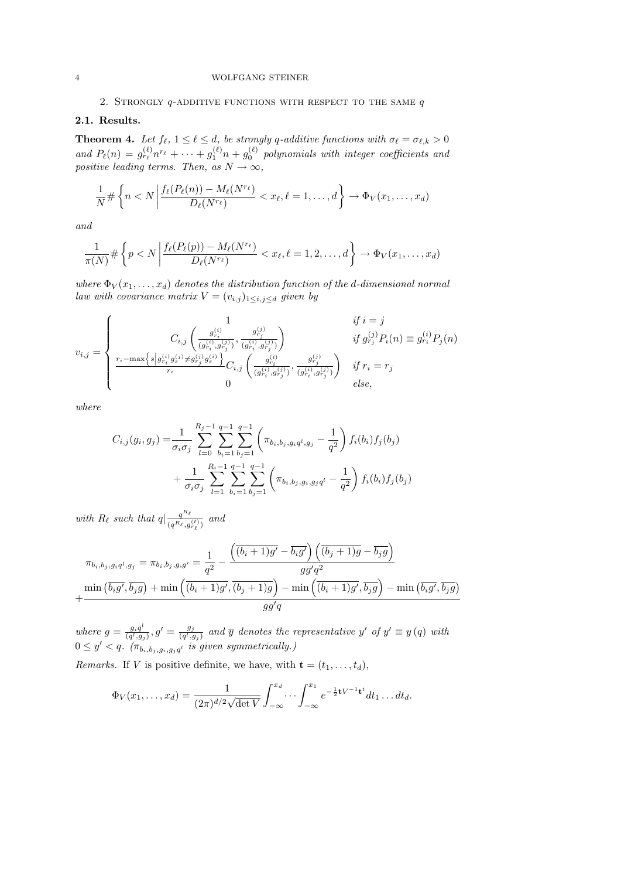### 2. STRONGLY  $q$ -ADDITIVE FUNCTIONS WITH RESPECT TO THE SAME  $q$

## 2.1. Results.

**Theorem 4.** Let  $f_{\ell}$ ,  $1 \leq \ell \leq d$ , be strongly q-additive functions with  $\sigma_{\ell} = \sigma_{\ell,k} > 0$ and  $P_{\ell}(n) = g_{r_{\ell}}^{(\ell)} n^{r_{\ell}} + \cdots + g_1^{(\ell)} n + g_0^{(\ell)}$  polynomials with integer coefficients and positive leading terms. Then, as  $N \to \infty$ ,

$$
\frac{1}{N} \# \left\{ n < N \left| \frac{f_{\ell}(P_{\ell}(n)) - M_{\ell}(N^{r_{\ell}})}{D_{\ell}(N^{r_{\ell}})} \right| < x_{\ell}, \ell = 1, \dots, d \right\} \to \Phi_V(x_1, \dots, x_d)
$$

and

$$
\frac{1}{\pi(N)} \# \left\{ p < N \left| \frac{f_{\ell}(P_{\ell}(p)) - M_{\ell}(N^{r_{\ell}})}{D_{\ell}(N^{r_{\ell}})} < x_{\ell}, \ell = 1, 2, \dots, d \right. \right\} \to \Phi_V(x_1, \dots, x_d)
$$

where  $\Phi_V(x_1,\ldots,x_d)$  denotes the distribution function of the d-dimensional normal law with covariance matrix  $V = (v_{i,j})_{1 \leq i,j \leq d}$  given by

$$
v_{i,j} = \begin{cases} \n\frac{1}{C_{i,j} \left( \frac{g_{r_i}^{(i)}}{(g_{r_i}^{(i)}, g_{r_j}^{(j)})}, \frac{g_{r_j}^{(j)}}{(g_{r_i}^{(i)}, g_{r_j}^{(j)})} \right)} & \text{if } g_{r_j}^{(j)} P_i(n) \equiv g_{r_i}^{(i)} P_j(n) \\ \n\frac{1}{r_i - \max\{s \mid g_{r_i}^{(i)} g_s^{(j)} \neq g_{r_j}^{(j)} g_s^{(i)}\}}{r_i} C_{i,j} \left( \frac{g_{r_i}^{(i)}}{(g_{r_i}^{(i)}, g_{r_j}^{(j)})}, \frac{g_{r_j}^{(j)}}{(g_{r_i}^{(i)}, g_{r_j}^{(j)})} \right) & \text{if } r_i = r_j \\ \n0 & \text{else,} \n\end{cases}
$$

where

$$
C_{i,j}(g_i, g_j) = \frac{1}{\sigma_i \sigma_j} \sum_{l=0}^{R_j - 1} \sum_{b_i=1}^{q-1} \sum_{b_j=1}^{q-1} \left( \pi_{b_i, b_j, g_i q^l, g_j} - \frac{1}{q^2} \right) f_i(b_i) f_j(b_j)
$$
  
+ 
$$
\frac{1}{\sigma_i \sigma_j} \sum_{l=1}^{R_i - 1} \sum_{b_i=1}^{q-1} \sum_{b_j=1}^{q-1} \left( \pi_{b_i, b_j, g_i, g_j q^l} - \frac{1}{q^2} \right) f_i(b_i) f_j(b_j)
$$

with  $R_\ell$  such that  $q| \frac{q^{R_\ell}}{(e^{-R_\ell})^n}$  $\frac{q^{\alpha_{\ell}}}{(q^{R_{\ell}},g^{(\ell)}_{r_{\ell}})}$  and

$$
\pi_{b_i,b_j,g_i q^l,g_j} = \pi_{b_i,b_j,g,g'} = \frac{1}{q^2} - \frac{\left(\overline{(b_i+1)g'} - \overline{b_i g'}\right)\left(\overline{(b_j+1)g} - \overline{b_j g}\right)}{gg'q^2}
$$

$$
+ \frac{\min\left(\overline{b_i g'}, \overline{b_j g}\right) + \min\left(\overline{(b_i+1)g'}, \overline{(b_j+1)g}\right) - \min\left(\overline{(b_i+1)g'}, \overline{b_j g}\right) - \min\left(\overline{b_i g'}, \overline{b_j g}\right)}{gg'q}
$$

where  $g = \frac{g_i q^l}{\left(g^l\right) g}$  $\frac{g_i q^l}{(q^l,g_j)}, g'=\frac{g_j}{(q^l,g)}$  $\frac{g_j}{(q^l,g_j)}$  and  $\overline{y}$  denotes the representative y' of  $y' \equiv y(q)$  with  $0 \leq y' < q$ .  $(\pi_{b_i, b_j, g_i, g_j q^l}$  is given symmetrically.)

*Remarks.* If V is positive definite, we have, with  $\mathbf{t} = (t_1, \ldots, t_d)$ ,

$$
\Phi_V(x_1,\ldots,x_d)=\frac{1}{(2\pi)^{d/2}\sqrt{\det V}}\int_{-\infty}^{x_d}\cdots\int_{-\infty}^{x_1}e^{-\frac{1}{2}\mathbf{t}V^{-1}\mathbf{t}^t}dt_1\ldots dt_d.
$$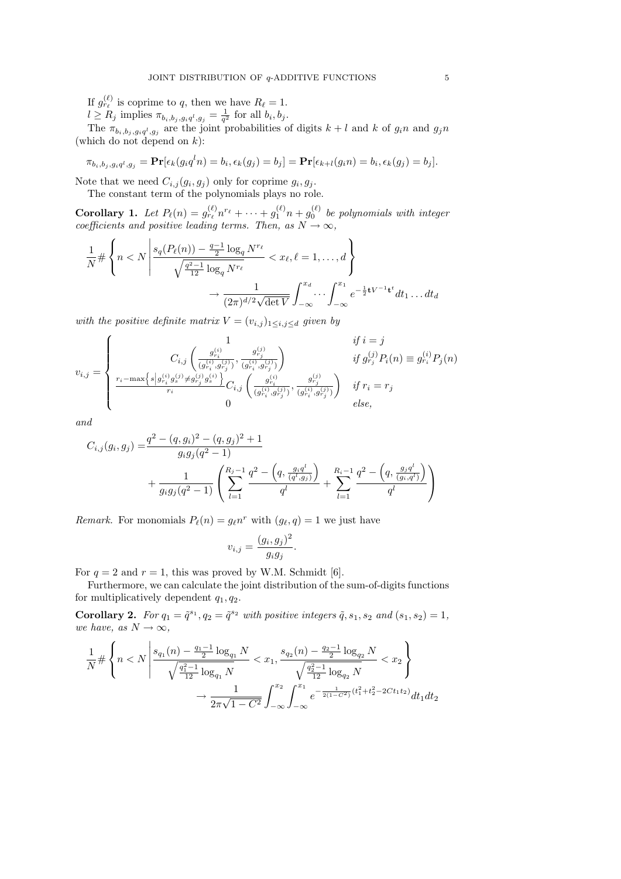If  $g_{r_\ell}^{(\ell)}$  is coprime to q, then we have  $R_\ell = 1$ .

 $l \geq R_j$  implies  $\pi_{b_i, b_j, g_i q^l, g_j} = \frac{1}{q^2}$  for all  $b_i, b_j$ .

The  $\pi_{b_i, b_j, g_i q^l, g_j}$  are the joint probabilities of digits  $k+l$  and k of  $g_i n$  and  $g_j n$ (which do not depend on  $k$ ):

 $\pi_{b_i, b_j, g_i q^l, g_j} = \mathbf{Pr}[\epsilon_k(g_i q^l n) = b_i, \epsilon_k(g_j) = b_j] = \mathbf{Pr}[\epsilon_{k+l}(g_i n) = b_i, \epsilon_k(g_j) = b_j].$ 

Note that we need  $C_{i,j}(g_i, g_j)$  only for coprime  $g_i, g_j$ .

The constant term of the polynomials plays no role.

**Corollary 1.** Let  $P_{\ell}(n) = g_{r_{\ell}}^{(\ell)} n^{r_{\ell}} + \cdots + g_1^{(\ell)} n + g_0^{(\ell)}$  be polynomials with integer coefficients and positive leading terms. Then, as  $N \to \infty$ ,

$$
\frac{1}{N} \# \left\{ n < N \left| \frac{s_q(P_\ell(n)) - \frac{q-1}{2} \log_q N^{r_\ell}}{\sqrt{\frac{q^2-1}{12} \log_q N^{r_\ell}}} < x_\ell, \ell = 1, \dots, d \right\} \right\}
$$
\n
$$
\to \frac{1}{(2\pi)^{d/2} \sqrt{\det V}} \int_{-\infty}^{x_d} \dots \int_{-\infty}^{x_1} e^{-\frac{1}{2} \mathbf{t} V^{-1} \mathbf{t}^t} dt_1 \dots dt_d
$$

with the positive definite matrix  $V = (v_{i,j})_{1 \leq i,j \leq d}$  given by

$$
v_{i,j} = \begin{cases} \n\frac{1}{C_{i,j} \left( \frac{g_{r_i}^{(i)}}{(g_{r_i}^{(i)}, g_{r_j}^{(j)})}, \frac{g_{r_j}^{(j)}}{(g_{r_i}^{(i)}, g_{r_j}^{(j)})} \right)} & \text{if } g_{r_j}^{(j)} P_i(n) \equiv g_{r_i}^{(i)} P_j(n) \\ \n\frac{1}{r_i - \max\{s \mid g_{r_i}^{(i)} g_{s_j}^{(j)} \neq g_{r_j}^{(j)} g_{s_i}^{(i)}\}}{r_i - r_i} C_{i,j} \left( \frac{g_{r_i}^{(i)}}{(g_{r_i}^{(i)}, g_{r_j}^{(j)})}, \frac{g_{r_j}^{(j)}}{(g_{r_i}^{(i)}, g_{r_j}^{(j)})} \right) & \text{if } r_i = r_j \\ \n0 & \text{else,} \n\end{cases}
$$

and

$$
C_{i,j}(g_i, g_j) = \frac{q^2 - (q, g_i)^2 - (q, g_j)^2 + 1}{g_i g_j (q^2 - 1)} + \frac{1}{g_i g_j (q^2 - 1)} \left( \sum_{l=1}^{R_j - 1} \frac{q^2 - \left( q, \frac{q_i q^l}{(q^l, g_j)} \right)}{q^l} + \sum_{l=1}^{R_i - 1} \frac{q^2 - \left( q, \frac{g_j q^l}{(g_i, q^l)} \right)}{q^l} \right)
$$

Remark. For monomials  $P_\ell(n) = g_\ell n^r$  with  $(g_\ell, q) = 1$  we just have

$$
v_{i,j} = \frac{(g_i, g_j)^2}{g_i g_j}.
$$

For  $q = 2$  and  $r = 1$ , this was proved by W.M. Schmidt [6].

Furthermore, we can calculate the joint distribution of the sum-of-digits functions for multiplicatively dependent  $q_1, q_2$ .

Corollary 2. For  $q_1 = \tilde{q}^{s_1}, q_2 = \tilde{q}^{s_2}$  with positive integers  $\tilde{q}, s_1, s_2$  and  $(s_1, s_2) = 1$ , we have, as  $N \to \infty$ ,

$$
\frac{1}{N} \# \left\{ n < N \left| \frac{s_{q_1}(n) - \frac{q_1 - 1}{2} \log_{q_1} N}{\sqrt{\frac{q_1^2 - 1}{12} \log_{q_1} N}} < x_1, \frac{s_{q_2}(n) - \frac{q_2 - 1}{2} \log_{q_2} N}{\sqrt{\frac{q_2^2 - 1}{12} \log_{q_2} N}} < x_2 \right\} \right\}
$$
\n
$$
\to \frac{1}{2\pi\sqrt{1 - C^2}} \int_{-\infty}^{x_2} \int_{-\infty}^{x_1} e^{-\frac{1}{2(1 - C^2)} (t_1^2 + t_2^2 - 2Ct_1 t_2)} dt_1 dt_2
$$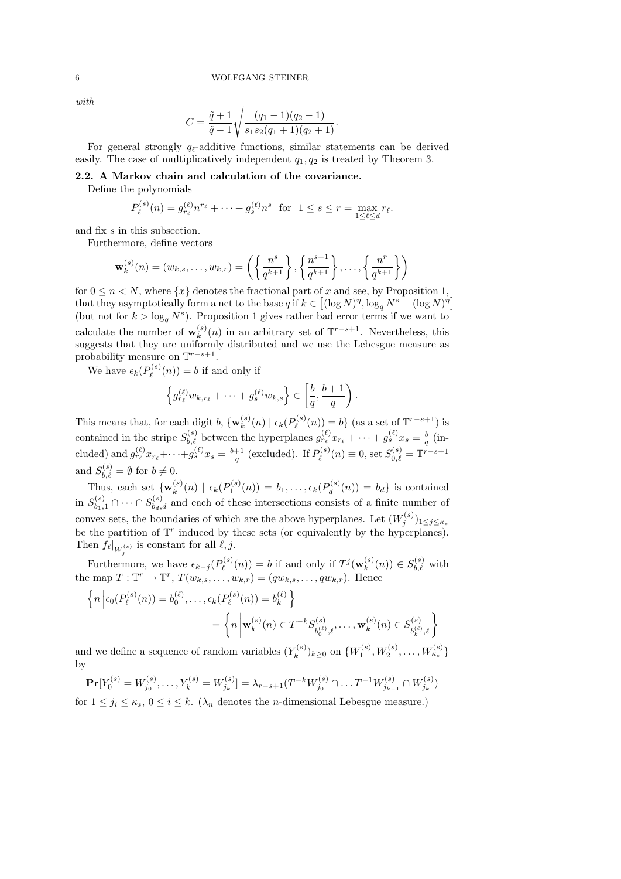with

$$
C = \frac{\tilde{q}+1}{\tilde{q}-1} \sqrt{\frac{(q_1-1)(q_2-1)}{s_1s_2(q_1+1)(q_2+1)}}.
$$

For general strongly  $q_{\ell}$ -additive functions, similar statements can be derived easily. The case of multiplicatively independent  $q_1, q_2$  is treated by Theorem 3.

## 2.2. A Markov chain and calculation of the covariance.

Define the polynomials

$$
P_{\ell}^{(s)}(n) = g_{r_{\ell}}^{(\ell)} n^{r_{\ell}} + \dots + g_s^{(\ell)} n^s \text{ for } 1 \le s \le r = \max_{1 \le \ell \le d} r_{\ell}.
$$

and fix s in this subsection.

Furthermore, define vectors

$$
\mathbf{w}_k^{(s)}(n) = (w_{k,s}, \dots, w_{k,r}) = \left(\left\{\frac{n^s}{q^{k+1}}\right\}, \left\{\frac{n^{s+1}}{q^{k+1}}\right\}, \dots, \left\{\frac{n^r}{q^{k+1}}\right\}\right)
$$

for  $0 \leq n \leq N$ , where  $\{x\}$  denotes the fractional part of x and see, by Proposition 1, that they asymptotically form a net to the base q if  $k \in [(\log N)^{\eta}, \log_q N^s - (\log N)^{\eta}]$ (but not for  $k > \log_q N^s$ ). Proposition 1 gives rather bad error terms if we want to calculate the number of  $\mathbf{w}_k^{(s)}$  $\binom{s}{k}(n)$  in an arbitrary set of  $\mathbb{T}^{r-s+1}$ . Nevertheless, this suggests that they are uniformly distributed and we use the Lebesgue measure as probability measure on  $\mathbb{T}^{r-s+1}$ .

We have  $\epsilon_k(P_{\ell}^{(s)})$  $Q_{\ell}^{(s)}(n) = b$  if and only if

$$
\left\{g_{r_\ell}^{(\ell)}w_{k,r_\ell}+\cdots+g_s^{(\ell)}w_{k,s}\right\}\in\left[\frac{b}{q},\frac{b+1}{q}\right).
$$

This means that, for each digit b,  $\{w_k^{(s)}\}$  $_k^{(s)}(n) \mid \epsilon_k(P_\ell^{(s)})$  $\ell^{(s)}(n)) = b$  (as a set of  $\mathbb{T}^{r-s+1}$ ) is contained in the stripe  $S_{b,\ell}^{(s)}$  between the hyperplanes  $g_{r_\ell}^{(\ell)} x_{r_\ell} + \cdots + g_s^{(\ell)} x_s = \frac{b}{q}$  (included) and  $g_{r_\ell}^{(\ell)} x_{r_\ell} + \cdots + g_s^{(\ell)} x_s = \frac{b+1}{q}$  (excluded). If  $P_\ell^{(s)}$  $P_{\ell}^{(s)}(n) \equiv 0$ , set  $S_{0,\ell}^{(s)} = \mathbb{T}^{r-s+1}$ and  $S_{b,\ell}^{(s)} = \emptyset$  for  $b \neq 0$ .

Thus, each set  $\{w_k^{(s)}\}$  $\zeta^{(s)}_k(n) \, \mid \, \epsilon_k(P_1^{(s)}(n)) \, = \, b_1, \ldots, \epsilon_k(P_d^{(s)})$  $b_d^{(s)}(n) = b_d$  is contained in  $S_{b_1,1}^{(s)} \cap \cdots \cap S_{b_d,d}^{(s)}$  and each of these intersections consists of a finite number of convex sets, the boundaries of which are the above hyperplanes. Let  $(W_j^{(s)})_{1 \leq j \leq \kappa_s}$ be the partition of  $\mathbb{T}^r$  induced by these sets (or equivalently by the hyperplanes). Then  $f_{\ell}|_{W_j^{(s)}}$  is constant for all  $\ell, j$ .

Furthermore, we have  $\epsilon_{k-j}(P_{\ell}^{(s)})$  $p_{\ell}^{(s)}(n)) = b$  if and only if  $T^{j}(\mathbf{w}_{k}^{(s)})$  $s_k^{(s)}(n)) \in S_{b,\ell}^{(s)}$  with the map  $T: \mathbb{T}^r \to \mathbb{T}^r$ ,  $T(w_{k,s}, \ldots, w_{k,r}) = (qw_{k,s}, \ldots, qw_{k,r})$ . Hence

$$
\left\{ n \left| \epsilon_0(P_\ell^{(s)}(n)) = b_0^{(\ell)}, \dots, \epsilon_k(P_\ell^{(s)}(n)) = b_k^{(\ell)} \right\} \right\}
$$
  
= 
$$
\left\{ n \left| \mathbf{w}_k^{(s)}(n) \in T^{-k} S_{b_0^{(\ell)},\ell}^{(s)}, \dots, \mathbf{w}_k^{(s)}(n) \in S_{b_k^{(\ell)},\ell}^{(s)} \right\} \right\}
$$

and we define a sequence of random variables  $(Y_k^{(s)})$  $\{ (k^{(s)})_{k \geq 0} \text{ on } \{ (W_1^{(s)}, W_2^{(s)}, \dots, W_{\kappa_s}^{(s)} \}$ by

$$
\mathbf{Pr}[Y_0^{(s)} = W_{j_0}^{(s)}, \dots, Y_k^{(s)} = W_{j_k}^{(s)}] = \lambda_{r-s+1}(T^{-k}W_{j_0}^{(s)} \cap \dots T^{-1}W_{j_{k-1}}^{(s)} \cap W_{j_k}^{(s)})
$$

for  $1 \leq j_i \leq \kappa_s, 0 \leq i \leq k$ . ( $\lambda_n$  denotes the *n*-dimensional Lebesgue measure.)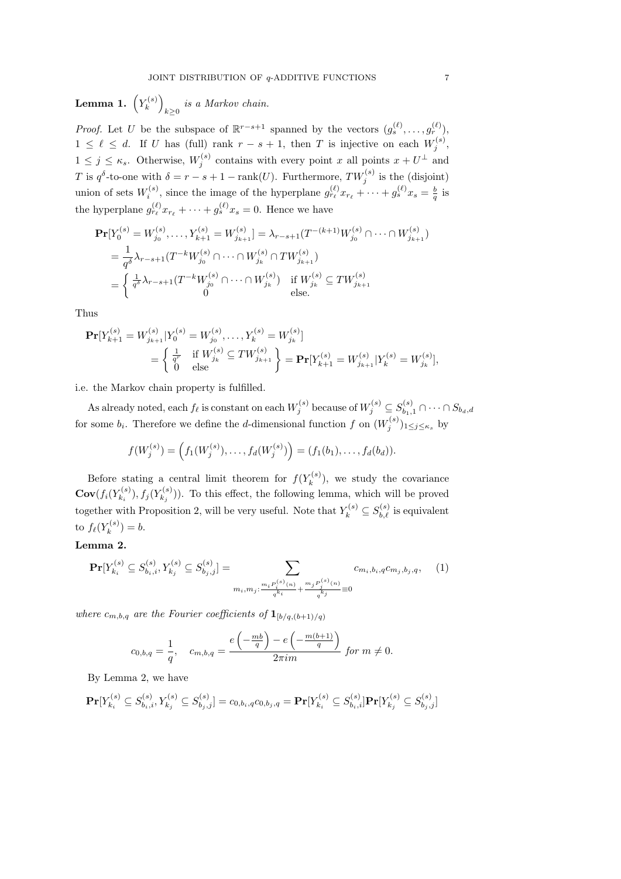Lemma 1.  $\left(Y_k^{(s)}\right)$  $\binom{s}{k}$  $\sum_{k\geq 0}$  is a Markov chain.

*Proof.* Let U be the subspace of  $\mathbb{R}^{r-s+1}$  spanned by the vectors  $(g_s^{(\ell)}, \ldots, g_r^{(\ell)})$ ,  $1 \leq \ell \leq d$ . If U has (full) rank  $r - s + 1$ , then T is injective on each  $W_j^{(s)}$ ,  $1 \leq j \leq \kappa_s$ . Otherwise,  $W_j^{(s)}$  contains with every point x all points  $x + U^{\perp}$  and T is  $q^{\delta}$ -to-one with  $\delta = r - s + 1 - \text{rank}(U)$ . Furthermore,  $TW_j^{(s)}$  is the (disjoint) union of sets  $W_i^{(s)}$ , since the image of the hyperplane  $g_{r_\ell}^{(\ell)} x_{r_\ell} + \cdots + g_s^{(\ell)} x_s = \frac{b}{q}$  is the hyperplane  $g_{r_\ell}^{(\ell)} x_{r_\ell} + \cdots + g_s^{(\ell)} x_s = 0$ . Hence we have

$$
\begin{split} \mathbf{Pr}[Y_0^{(s)} = W_{j_0}^{(s)}, \dots, Y_{k+1}^{(s)} = W_{j_{k+1}}^{(s)}] &= \lambda_{r-s+1}(T^{-(k+1)}W_{j_0}^{(s)} \cap \dots \cap W_{j_{k+1}}^{(s)}) \\ &= \frac{1}{q^\delta} \lambda_{r-s+1}(T^{-k}W_{j_0}^{(s)} \cap \dots \cap W_{j_k}^{(s)} \cap TW_{j_{k+1}}^{(s)}) \\ &= \begin{cases} \frac{1}{q^\delta} \lambda_{r-s+1}(T^{-k}W_{j_0}^{(s)} \cap \dots \cap W_{j_k}^{(s)}) & \text{if } W_{j_k}^{(s)} \subseteq TW_{j_{k+1}}^{(s)} \\ 0 & \text{else.} \end{cases} \end{split}
$$

Thus

$$
\begin{split} \mathbf{Pr}[Y_{k+1}^{(s)} = W_{j_{k+1}}^{(s)} | Y_0^{(s)} = W_{j_0}^{(s)}, \dots, Y_k^{(s)} = W_{j_k}^{(s)}] \\ &= \left\{ \begin{matrix} \frac{1}{q^r} & \text{if } W_{j_k}^{(s)} \subseteq TW_{j_{k+1}}^{(s)} \\ 0 & \text{else} \end{matrix} \right\} = \mathbf{Pr}[Y_{k+1}^{(s)} = W_{j_{k+1}}^{(s)} | Y_k^{(s)} = W_{j_k}^{(s)}], \end{split}
$$

i.e. the Markov chain property is fulfilled.

As already noted, each  $f_\ell$  is constant on each  $W_j^{(s)}$  because of  $W_j^{(s)} \subseteq S_{b_1,1}^{(s)} \cap \cdots \cap S_{b_d,d}$ for some  $b_i$ . Therefore we define the d-dimensional function f on  $(W_j^{(s)})_{1 \leq j \leq \kappa_s}$  by

$$
f(W_j^{(s)}) = (f_1(W_j^{(s)}), \ldots, f_d(W_j^{(s)}) ) = (f_1(b_1), \ldots, f_d(b_d)).
$$

Before stating a central limit theorem for  $f(Y_k^{(s)})$  $\binom{n(s)}{k}$ , we study the covariance  $\mathbf{Cov}(f_i(Y_{k_i}^{(s)})$  $(f_{k_i}^{(s)}), f_j(Y_{k_j}^{(s)})$  $(k_i^{(s)}))$ . To this effect, the following lemma, which will be proved together with Proposition 2, will be very useful. Note that  $Y_k^{(s)} \subseteq S_{b,\ell}^{(s)}$  is equivalent to  $f_{\ell}(Y_k^{(s)}$  $f_k^{(s)} = b.$ 

## Lemma 2.

$$
\mathbf{Pr}[Y_{k_i}^{(s)} \subseteq S_{b_i,i}^{(s)}, Y_{k_j}^{(s)} \subseteq S_{b_j,j}^{(s)}] = \sum_{\substack{m_i, m_j: \frac{m_i P_i^{(s)}(n)}{q^{k_i}}} \frac{m_j P_j^{(s)}(n)}{q^{k_j}}} c_{m_i, b_i, q} c_{m_j, b_j, q}, \quad (1)
$$

where  $c_{m,b,q}$  are the Fourier coefficients of  $\mathbf{1}_{[b/q,(b+1)/q)}$ 

$$
c_{0,b,q} = \frac{1}{q}, \quad c_{m,b,q} = \frac{e\left(-\frac{mb}{q}\right) - e\left(-\frac{m(b+1)}{q}\right)}{2\pi i m} \text{ for } m \neq 0.
$$

By Lemma 2, we have

$$
\mathbf{Pr}[Y_{k_i}^{(s)} \subseteq S_{b_i,i}^{(s)}, Y_{k_j}^{(s)} \subseteq S_{b_j,j}^{(s)}] = c_{0,b_i,q}c_{0,b_j,q} = \mathbf{Pr}[Y_{k_i}^{(s)} \subseteq S_{b_i,i}^{(s)}] \mathbf{Pr}[Y_{k_j}^{(s)} \subseteq S_{b_j,j}^{(s)}]
$$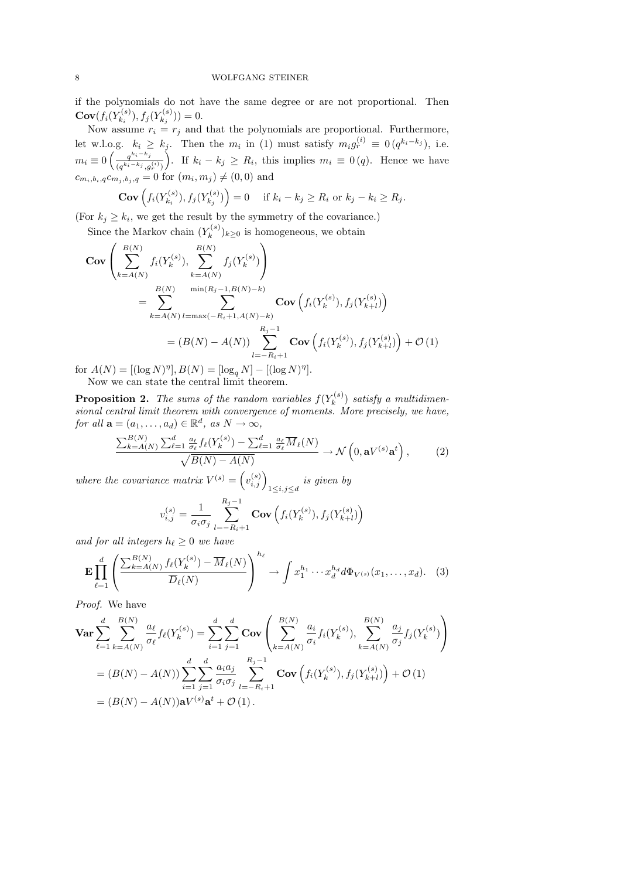if the polynomials do not have the same degree or are not proportional. Then  $\mathbf{Cov}(f_i(Y_{k_i}^{(s)})$  $(f_{k_i}^{(s)}), f_j(Y_{k_j}^{(s)})$  $f_{k_j}^{(s)})) = 0.$ 

Now assume  $r_i = r_j$  and that the polynomials are proportional. Furthermore, let w.l.o.g.  $k_i \geq k_j$ . Then the  $m_i$  in (1) must satisfy  $m_i g_r^{(i)} \equiv 0 \left( q^{k_i - k_j} \right)$ , i.e.  $m_i \equiv 0 \left( \frac{q^{k_i-k_j}}{(q_k)^k} \right)$  $(q^{k_i-k_j}, g_r^{(i)})$ ). If  $k_i - k_j \geq R_i$ , this implies  $m_i \equiv 0 \, (q)$ . Hence we have  $c_{m_i,b_i,q}c_{m_j,b_j,q} = 0$  for  $(m_i, m_j) \neq (0, 0)$  and

$$
\mathbf{Cov}\left(f_i(Y_{k_i}^{(s)}), f_j(Y_{k_j}^{(s)})\right) = 0 \quad \text{ if } k_i - k_j \ge R_i \text{ or } k_j - k_i \ge R_j.
$$

(For  $k_j \geq k_i$ , we get the result by the symmetry of the covariance.)

Since the Markov chain  $(Y_k^{(s)}$  $(k^{(s)})_{k\geq 0}$  is homogeneous, we obtain

$$
\begin{split} \mathbf{Cov} \left( \sum_{k=A(N)}^{B(N)} f_i(Y_k^{(s)}), \sum_{k=A(N)}^{B(N)} f_j(Y_k^{(s)}) \right) \\ &= \sum_{k=A(N)}^{B(N)} \sum_{l=\max(-R_i+1, A(N)-k)}^{\min(R_j-1, B(N)-k)} \mathbf{Cov} \left( f_i(Y_k^{(s)}), f_j(Y_{k+l}^{(s)}) \right) \\ &= (B(N)-A(N)) \sum_{l=-R_i+1}^{R_j-1} \mathbf{Cov} \left( f_i(Y_k^{(s)}), f_j(Y_{k+l}^{(s)}) \right) + \mathcal{O} \left( 1 \right) \end{split}
$$

for  $A(N) = [(\log N)^{\eta}], B(N) = [\log_q N] - [(\log N)^{\eta}].$ Now we can state the central limit theorem.

**Proposition 2.** The sums of the random variables  $f(Y_k^{(s)})$  $\binom{r(s)}{k}$  satisfy a multidimensional central limit theorem with convergence of moments. More precisely, we have, for all  $\mathbf{a} = (a_1, \dots, a_d) \in \mathbb{R}^d$ , as  $N \to \infty$ ,

$$
\frac{\sum_{k=A(N)}^{B(N)}\sum_{\ell=1}^d \frac{a_{\ell}}{\sigma_{\ell}}f_{\ell}(Y_k^{(s)}) - \sum_{\ell=1}^d \frac{a_{\ell}}{\sigma_{\ell}}\overline{M}_{\ell}(N)}{\sqrt{B(N) - A(N)}} \to \mathcal{N}\left(0, \mathbf{a}V^{(s)}\mathbf{a}^t\right),\tag{2}
$$

where the covariance matrix  $V^{(s)} = \left( v_{i,j}^{(s)} \right)_{1 \leq i,j \leq d}$  is given by

$$
v_{i,j}^{(s)} = \frac{1}{\sigma_i \sigma_j} \sum_{l=-R_i+1}^{R_j-1} \text{Cov}\left(f_i(Y_k^{(s)}), f_j(Y_{k+l}^{(s)})\right)
$$

and for all integers  $h_\ell \geq 0$  we have

$$
\mathbf{E} \prod_{\ell=1}^d \left( \frac{\sum_{k=A(N)}^{B(N)} f_\ell(Y_k^{(s)}) - \overline{M}_\ell(N)}{\overline{D}_\ell(N)} \right)^{h_\ell} \to \int x_1^{h_1} \cdots x_d^{h_d} d\Phi_{V^{(s)}}(x_1, \dots, x_d). \tag{3}
$$

Proof. We have

$$
\begin{split} \n\textbf{Var} & \sum_{\ell=1}^{d} \sum_{k=A(N)}^{B(N)} \frac{a_{\ell}}{\sigma_{\ell}} f_{\ell}(Y_{k}^{(s)}) = \sum_{i=1}^{d} \sum_{j=1}^{d} \textbf{Cov} \left( \sum_{k=A(N)}^{B(N)} \frac{a_{i}}{\sigma_{i}} f_{i}(Y_{k}^{(s)}), \sum_{k=A(N)}^{B(N)} \frac{a_{j}}{\sigma_{j}} f_{j}(Y_{k}^{(s)}) \right) \\ \n&= (B(N) - A(N)) \sum_{i=1}^{d} \sum_{j=1}^{d} \frac{a_{i} a_{j}}{\sigma_{i} \sigma_{j}} \sum_{l=-R_{i}+1}^{R_{j}-1} \textbf{Cov} \left( f_{i}(Y_{k}^{(s)}), f_{j}(Y_{k+l}^{(s)}) \right) + \mathcal{O} \left( 1 \right) \\ \n&= (B(N) - A(N)) \mathbf{a} V^{(s)} \mathbf{a}^{t} + \mathcal{O} \left( 1 \right). \n\end{split}
$$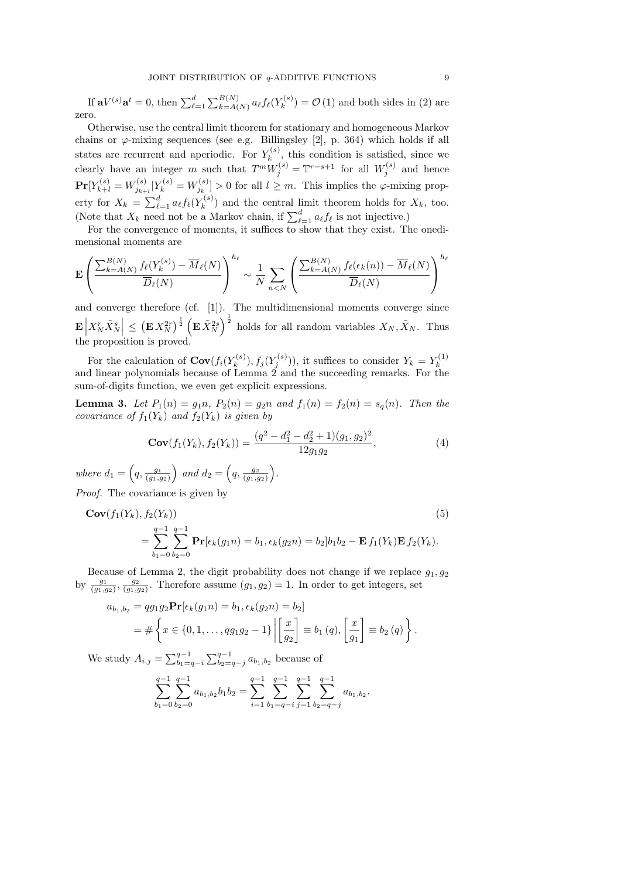If  $\mathbf{a}V^{(s)}\mathbf{a}^t = 0$ , then  $\sum_{\ell=1}^d \sum_{k=A(N)}^{B(N)} a_\ell f_\ell(Y_k^{(s)})$  $\mathcal{C}_{k}^{(s)}$  =  $\mathcal{O}(1)$  and both sides in (2) are zero.

Otherwise, use the central limit theorem for stationary and homogeneous Markov chains or  $\varphi$ -mixing sequences (see e.g. Billingsley [2], p. 364) which holds if all states are recurrent and aperiodic. For  $Y_k^{(s)}$  $\kappa^{(s)}$ , this condition is satisfied, since we clearly have an integer m such that  $T^m W_j^{(s)} = T^{r-s+1}$  for all  $W_j^{(s)}$  and hence  $\mathbf{Pr}[Y_{k+l}^{(s)} = W_{j_{k+l}}^{(s)} | Y_k^{(s)} = W_{j_k}^{(s)}] > 0$  for all  $l \geq m$ . This implies the  $\varphi$ -mixing property for  $X_k = \sum_{\ell=1}^d a_\ell f_\ell(Y_k^{(s)})$  $k^{(s)}$  and the central limit theorem holds for  $X_k$ , too. (Note that  $X_k$  need not be a Markov chain, if  $\sum_{\ell=1}^d a_\ell f_\ell$  is not injective.)

For the convergence of moments, it suffices to show that they exist. The onedimensional moments are

$$
\mathbf{E}\left(\frac{\sum_{k=A(N)}^{B(N)}f_{\ell}(Y_k^{(s)}) - \overline{M}_{\ell}(N)}{\overline{D}_{\ell}(N)}\right)^{h_{\ell}} \sim \frac{1}{N} \sum_{n < N} \left(\frac{\sum_{k=A(N)}^{B(N)}f_{\ell}(\epsilon_k(n)) - \overline{M}_{\ell}(N)}{\overline{D}_{\ell}(N)}\right)^{h_{\ell}}
$$

and converge therefore (cf. [1]). The multidimensional moments converge since  $\mathbf{E}\Big|$  $X_N^r \tilde{X}_N^s \leq (\mathbf{E} X_N^{2r})^{\frac{1}{2}} (\mathbf{E} \tilde{X}_N^{2s})^{\frac{1}{2}}$  holds for all random variables  $X_N, \tilde{X}_N$ . Thus the proposition is proved.

For the calculation of  $\mathbf{Cov}(f_i(Y_k^{(s)})$  $(x_k^{(s)}), f_j(Y_j^{(s)}))$ , it suffices to consider  $Y_k = Y_k^{(1)}$ For the calculation of  $\mathbb{C}\mathbb{O}\mathbb{V}(f_i(T_k), f_j(T_j))$ , it sumes to consider  $T_k = T_k$ <br>and linear polynomials because of Lemma 2 and the succeeding remarks. For the sum-of-digits function, we even get explicit expressions.

**Lemma 3.** Let  $P_1(n) = g_1 n$ ,  $P_2(n) = g_2 n$  and  $f_1(n) = f_2(n) = s_q(n)$ . Then the covariance of  $f_1(Y_k)$  and  $f_2(Y_k)$  is given by

$$
\mathbf{Cov}(f_1(Y_k), f_2(Y_k)) = \frac{(q^2 - d_1^2 - d_2^2 + 1)(g_1, g_2)^2}{12g_1g_2},\tag{4}
$$

where  $d_1 = \left(q, \frac{g_1}{(g_1, g_2)}\right)$  and  $d_2 = \left(q, \frac{g_2}{(g_1, g_2)}\right)$ .

Proof. The covariance is given by

$$
\mathbf{Cov}(f_1(Y_k), f_2(Y_k))
$$
\n
$$
= \sum_{b_1=0}^{q-1} \sum_{b_2=0}^{q-1} \mathbf{Pr}[\epsilon_k(g_1 n) = b_1, \epsilon_k(g_2 n) = b_2] b_1 b_2 - \mathbf{E} f_1(Y_k) \mathbf{E} f_2(Y_k).
$$
\n(5)

Because of Lemma 2, the digit probability does not change if we replace  $g_1, g_2$ by  $\frac{g_1}{(g_1,g_2)}$ ,  $\frac{g_2}{(g_1,g_2)}$ . Therefore assume  $(g_1,g_2)=1$ . In order to get integers, set

$$
a_{b_1,b_2} = qg_1g_2 \mathbf{Pr}[\epsilon_k(g_1n) = b_1, \epsilon_k(g_2n) = b_2]
$$
  
=  $\#\left\{x \in \{0, 1, ..., qg_1g_2 - 1\} \left| \left[\frac{x}{g_2}\right] \equiv b_1(q), \left[\frac{x}{g_1}\right] \equiv b_2(q)\right.\right\}.$ 

We study  $A_{i,j} = \sum_{b_1=q-i}^{q-1} \sum_{b_2=q-j}^{q-1} a_{b_1,b_2}$  because of

$$
\sum_{b_1=0}^{q-1} \sum_{b_2=0}^{q-1} a_{b_1,b_2} b_1 b_2 = \sum_{i=1}^{q-1} \sum_{b_1=q-i}^{q-1} \sum_{j=1}^{q-1} \sum_{b_2=q-j}^{q-1} a_{b_1,b_2}.
$$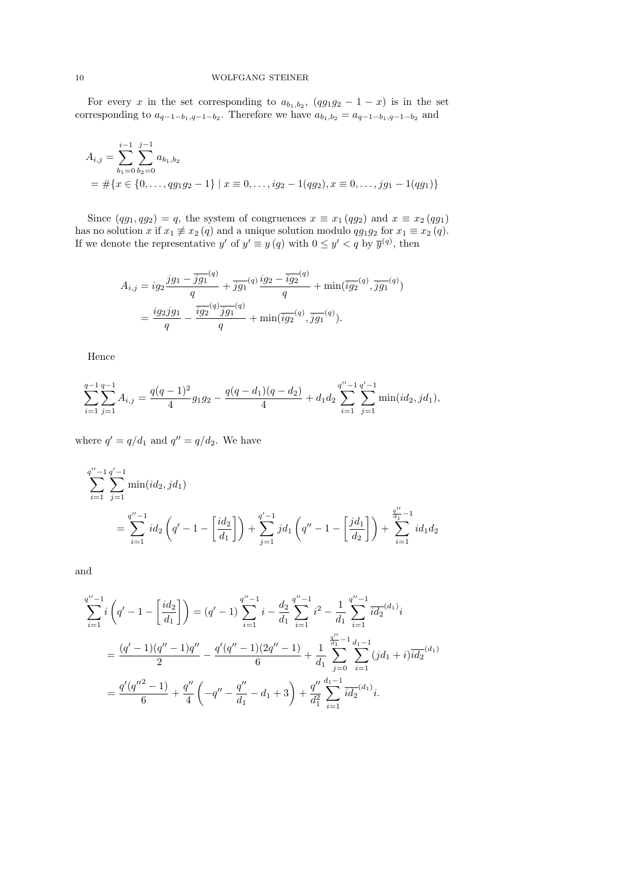For every x in the set corresponding to  $a_{b_1,b_2}$ ,  $(qg_1g_2 - 1 - x)$  is in the set corresponding to  $a_{q-1-b_1,q-1-b_2}$ . Therefore we have  $a_{b_1,b_2} = a_{q-1-b_1,q-1-b_2}$  and

$$
A_{i,j} = \sum_{b_1=0}^{i-1} \sum_{b_2=0}^{j-1} a_{b_1,b_2}
$$
  
=  $\#\{x \in \{0, ..., qg_1g_2 - 1\} \mid x \equiv 0, ..., ig_2 - 1(qg_2), x \equiv 0, ..., jg_1 - 1(qg_1)\}\$ 

Since  $(qg_1, qg_2) = q$ , the system of congruences  $x \equiv x_1 (qg_2)$  and  $x \equiv x_2 (qg_1)$ has no solution x if  $x_1 \neq x_2$  (q) and a unique solution modulo  $qg_1g_2$  for  $x_1 \equiv x_2$  (q). If we denote the representative y' of  $y' \equiv y(q)$  with  $0 \le y' < q$  by  $\overline{y}^{(q)}$ , then

$$
A_{i,j} = ig_2 \frac{jg_1 - \overline{jg_1}^{(q)}}{q} + \overline{jg_1}^{(q)} \frac{ig_2 - \overline{ig_2}^{(q)}}{q} + \min(\overline{ig_2}^{(q)}, \overline{jg_1}^{(q)})
$$
  
= 
$$
\frac{ig_2jg_1}{q} - \frac{\overline{ig_2}^{(q)} \overline{jg_1}^{(q)}}{q} + \min(\overline{ig_2}^{(q)}, \overline{jg_1}^{(q)}).
$$

Hence

$$
\sum_{i=1}^{q-1} \sum_{j=1}^{q-1} A_{i,j} = \frac{q(q-1)^2}{4} g_1 g_2 - \frac{q(q-d_1)(q-d_2)}{4} + d_1 d_2 \sum_{i=1}^{q''-1} \sum_{j=1}^{q'-1} \min(id_2, j d_1),
$$

where  $q' = q/d_1$  and  $q'' = q/d_2$ . We have

$$
\sum_{i=1}^{q''-1} \sum_{j=1}^{q'-1} \min(id_2, jd_1)
$$
\n
$$
= \sum_{i=1}^{q''-1} id_2 \left( q' - 1 - \left[ \frac{id_2}{d_1} \right] \right) + \sum_{j=1}^{q'-1} jd_1 \left( q'' - 1 - \left[ \frac{jd_1}{d_2} \right] \right) + \sum_{i=1}^{\frac{q''}{d_1}-1} id_1 d_2
$$

and

$$
\sum_{i=1}^{q''-1} i \left( q' - 1 - \left[ \frac{id_2}{d_1} \right] \right) = (q' - 1) \sum_{i=1}^{q''-1} i - \frac{d_2}{d_1} \sum_{i=1}^{q''-1} i^2 - \frac{1}{d_1} \sum_{i=1}^{q''-1} \frac{id_2}{id_2} (d_1)_i
$$
  

$$
= \frac{(q' - 1)(q'' - 1)q''}{2} - \frac{q'(q'' - 1)(2q'' - 1)}{6} + \frac{1}{d_1} \sum_{j=0}^{q''-1} \sum_{i=1}^{d_1 - 1} (jd_1 + i) \frac{id_2}{id_2} (d_1)
$$
  

$$
= \frac{q'(q''^2 - 1)}{6} + \frac{q''}{4} \left( -q'' - \frac{q''}{d_1} - d_1 + 3 \right) + \frac{q''}{d_1^2} \sum_{i=1}^{d_1 - 1} \frac{id_2}{id_2} (d_1)_i.
$$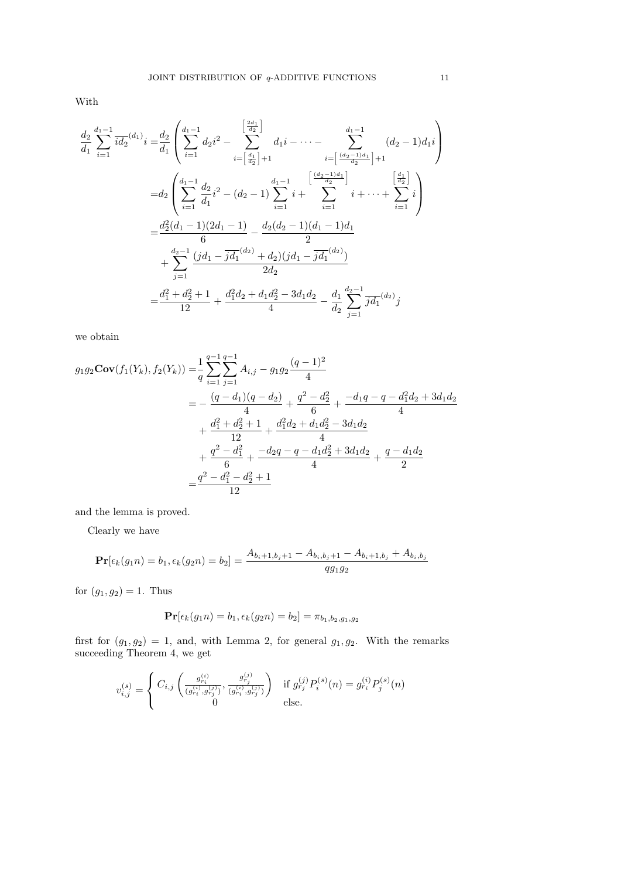With

$$
\frac{d_2}{d_1} \sum_{i=1}^{d_1-1} \overline{id_2}^{(d_1)} i = \frac{d_2}{d_1} \left( \sum_{i=1}^{d_1-1} d_2 i^2 - \sum_{i=\left[\frac{d_1}{d_2}\right]+1}^{\left[\frac{2d_1}{d_2}\right]} d_1 i - \dots - \sum_{i=\left[\frac{(d_2-1)d_1}{d_2}\right]+1}^{\left[\frac{d_1-1}{d_2}d_1 i\right]} (d_2-1)d_1 i \right)
$$
\n
$$
= d_2 \left( \sum_{i=1}^{d_1-1} \frac{d_2}{d_1} i^2 - (d_2-1) \sum_{i=1}^{d_1-1} i + \sum_{i=1}^{\left[\frac{(d_2-1)d_1}{d_2}\right]} i + \dots + \sum_{i=1}^{\left[\frac{d_1}{d_2}\right]} i \right)
$$
\n
$$
= \frac{d_2^2(d_1-1)(2d_1-1)}{6} - \frac{d_2(d_2-1)(d_1-1)d_1}{2}
$$
\n
$$
+ \sum_{j=1}^{d_2-1} \frac{(jd_1 - \overline{jd_1}^{(d_2)} + d_2)(jd_1 - \overline{jd_1}^{(d_2)})}{2d_2}
$$
\n
$$
= \frac{d_1^2 + d_2^2 + 1}{12} + \frac{d_1^2d_2 + d_1d_2^2 - 3d_1d_2}{4} - \frac{d_1}{d_2} \sum_{j=1}^{d_2-1} \overline{jd_1}^{(d_2)} j
$$

we obtain

$$
g_1 g_2 \mathbf{Cov}(f_1(Y_k), f_2(Y_k)) = \frac{1}{q} \sum_{i=1}^{q-1} \sum_{j=1}^{q-1} A_{i,j} - g_1 g_2 \frac{(q-1)^2}{4}
$$
  

$$
= -\frac{(q-d_1)(q-d_2)}{4} + \frac{q^2 - d_2^2}{6} + \frac{-d_1 q - q - d_1^2 d_2 + 3d_1 d_2}{4}
$$
  

$$
+ \frac{d_1^2 + d_2^2 + 1}{12} + \frac{d_1^2 d_2 + d_1 d_2^2 - 3d_1 d_2}{4}
$$
  

$$
+ \frac{q^2 - d_1^2}{6} + \frac{-d_2 q - q - d_1 d_2^2 + 3d_1 d_2}{4} + \frac{q - d_1 d_2}{2}
$$
  

$$
= \frac{q^2 - d_1^2 - d_2^2 + 1}{12}
$$

and the lemma is proved.

Clearly we have

$$
\mathbf{Pr}[\epsilon_k(g_1 n) = b_1, \epsilon_k(g_2 n) = b_2] = \frac{A_{b_i+1,b_j+1} - A_{b_i,b_j+1} - A_{b_i+1,b_j} + A_{b_i,b_j}}{q g_1 g_2}
$$

for  $(g_1, g_2) = 1$ . Thus

$$
\Pr[\epsilon_k(g_1 n) = b_1, \epsilon_k(g_2 n) = b_2] = \pi_{b_1, b_2, g_1, g_2}
$$

first for  $(g_1, g_2) = 1$ , and, with Lemma 2, for general  $g_1, g_2$ . With the remarks succeeding Theorem 4, we get

$$
v_{i,j}^{(s)} = \begin{cases} C_{i,j} \left( \frac{g_{r_i}^{(i)}}{(g_{r_i}^{(i)}, g_{r_j}^{(j)})}, \frac{g_{r_j}^{(j)}}{(g_{r_i}^{(i)}, g_{r_j}^{(j)})} \right) & \text{if } g_{r_j}^{(j)} P_i^{(s)}(n) = g_{r_i}^{(i)} P_j^{(s)}(n) \\ 0 & \text{else.} \end{cases}
$$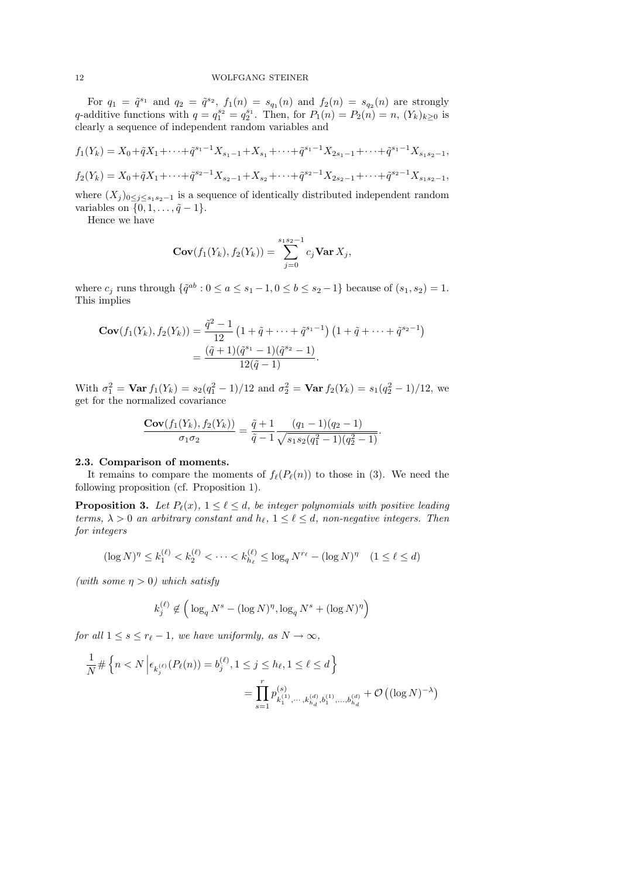For  $q_1 = \tilde{q}^{s_1}$  and  $q_2 = \tilde{q}^{s_2}$ ,  $f_1(n) = s_{q_1}(n)$  and  $f_2(n) = s_{q_2}(n)$  are strongly q-additive functions with  $q = q_1^{s_2} = q_2^{s_1}$ . Then, for  $P_1(n) = P_2(n) = n$ ,  $(Y_k)_{k \geq 0}$  is clearly a sequence of independent random variables and

$$
f_1(Y_k) = X_0 + \tilde{q}X_1 + \dots + \tilde{q}^{s_1 - 1}X_{s_1 - 1} + X_{s_1} + \dots + \tilde{q}^{s_1 - 1}X_{2s_1 - 1} + \dots + \tilde{q}^{s_1 - 1}X_{s_1 s_2 - 1},
$$
  

$$
f_2(Y_k) = X_0 + \tilde{q}X_1 + \dots + \tilde{q}^{s_2 - 1}X_{s_2 - 1} + X_{s_2} + \dots + \tilde{q}^{s_2 - 1}X_{2s_2 - 1} + \dots + \tilde{q}^{s_2 - 1}X_{s_1 s_2 - 1},
$$

where  $(X_j)_{0\leq j\leq s_1s_2-1}$  is a sequence of identically distributed independent random variables on  $\{0, 1, \ldots, \tilde{q} - 1\}.$ 

Hence we have

$$
\mathbf{Cov}(f_1(Y_k), f_2(Y_k)) = \sum_{j=0}^{s_1 s_2 - 1} c_j \mathbf{Var} X_j,
$$

where  $c_j$  runs through  $\{\tilde{q}^{ab} : 0 \le a \le s_1 - 1, 0 \le b \le s_2 - 1\}$  because of  $(s_1, s_2) = 1$ . This implies

$$
\mathbf{Cov}(f_1(Y_k), f_2(Y_k)) = \frac{\tilde{q}^2 - 1}{12} \left(1 + \tilde{q} + \dots + \tilde{q}^{s_1 - 1}\right) \left(1 + \tilde{q} + \dots + \tilde{q}^{s_2 - 1}\right)
$$
  
= 
$$
\frac{(\tilde{q} + 1)(\tilde{q}^{s_1} - 1)(\tilde{q}^{s_2} - 1)}{12(\tilde{q} - 1)}.
$$

With  $\sigma_1^2 = \text{Var } f_1(Y_k) = s_2(q_1^2 - 1)/12$  and  $\sigma_2^2 = \text{Var } f_2(Y_k) = s_1(q_2^2 - 1)/12$ , we get for the normalized covariance

$$
\frac{\mathbf{Cov}(f_1(Y_k), f_2(Y_k))}{\sigma_1 \sigma_2} = \frac{\tilde{q} + 1}{\tilde{q} - 1} \frac{(q_1 - 1)(q_2 - 1)}{\sqrt{s_1 s_2 (q_1^2 - 1)(q_2^2 - 1)}}.
$$

#### 2.3. Comparison of moments.

It remains to compare the moments of  $f_{\ell}(P_{\ell}(n))$  to those in (3). We need the following proposition (cf. Proposition 1).

**Proposition 3.** Let  $P_{\ell}(x)$ ,  $1 \leq \ell \leq d$ , be integer polynomials with positive leading terms,  $\lambda > 0$  an arbitrary constant and  $h_{\ell}$ ,  $1 \leq \ell \leq d$ , non-negative integers. Then for integers

$$
(\log N)^{\eta} \le k_1^{(\ell)} < k_2^{(\ell)} < \dots < k_{h_\ell}^{(\ell)} \le \log_q N^{r_\ell} - (\log N)^{\eta} \quad (1 \le \ell \le d)
$$

(with some  $\eta > 0$ ) which satisfy

$$
k_j^{(\ell)} \notin \left( \log_q N^s - (\log N)^\eta, \log_q N^s + (\log N)^\eta \right)
$$

for all  $1 \leq s \leq r_{\ell} - 1$ , we have uniformly, as  $N \to \infty$ ,

$$
\frac{1}{N} \# \left\{ n < N \left| \epsilon_{k_j^{(\ell)}}(P_\ell(n)) = b_j^{(\ell)}, 1 \le j \le h_\ell, 1 \le \ell \le d \right. \right\}
$$
\n
$$
= \prod_{s=1}^r p_{k_1^{(1)}, \dots, k_{h_d}^{(d)}, b_1^{(1)}, \dots, b_{h_d}^{(d)}}^{(s)} + \mathcal{O}\left( (\log N)^{-\lambda} \right)
$$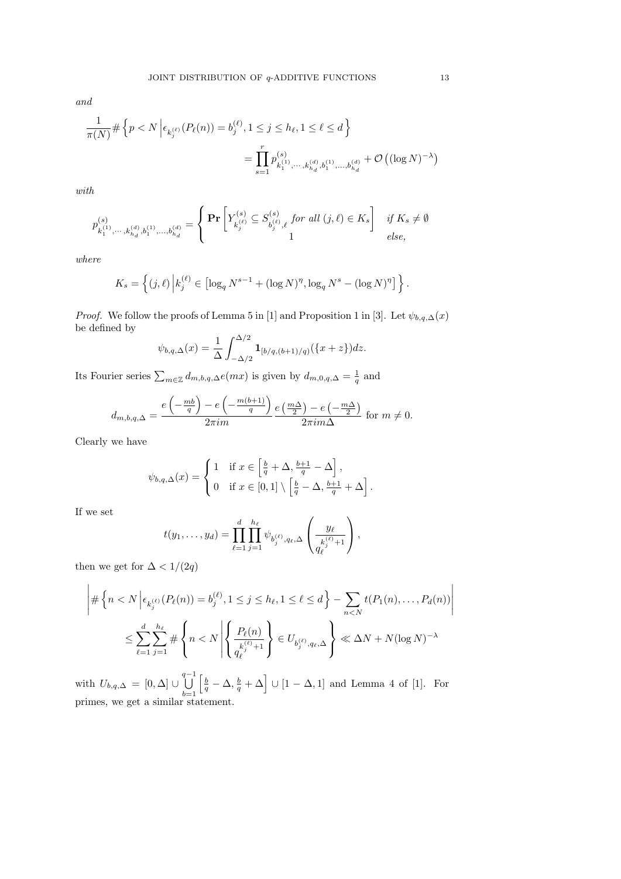and

$$
\frac{1}{\pi(N)} \# \left\{ p < N \left| \epsilon_{k_j^{(\ell)}}(P_\ell(n)) = b_j^{(\ell)}, 1 \le j \le h_\ell, 1 \le \ell \le d \right. \right\}
$$
\n
$$
= \prod_{s=1}^r p_{k_1^{(1)}, \dots, k_{h_d}^{(d)}, b_1^{(1)}, \dots, b_{h_d}^{(d)}}^{(s)} + \mathcal{O}\left( (\log N)^{-\lambda} \right)
$$

with

$$
p_{k_1^{(1)}, \cdots, k_{h_d}^{(d)}, b_1^{(1)}, \ldots, b_{h_d}^{(d)}}^{(s)} = \left\{ \begin{matrix} \Pr\left[Y_{k_j^{(\ell)}}^{(s)} \subseteq S_{b_j^{(\ell)}, \ell}^{(s)} \textit{ for all } (j, \ell) \in K_s \right] & \textit{if } K_s \neq \emptyset \\ 1 & 1 & \textit{else,} \end{matrix} \right.
$$

where

$$
K_s = \left\{ (j, \ell) \, \Big| k_j^{(\ell)} \in \left[ \log_q N^{s-1} + (\log N)^{\eta}, \log_q N^s - (\log N)^{\eta} \right] \right\}.
$$

*Proof.* We follow the proofs of Lemma 5 in [1] and Proposition 1 in [3]. Let  $\psi_{b,q,\Delta}(x)$ be defined by

$$
\psi_{b,q,\Delta}(x) = \frac{1}{\Delta} \int_{-\Delta/2}^{\Delta/2} \mathbf{1}_{[b/q,(b+1)/q)}(\{x+z\})dz.
$$

Its Fourier series  $\sum_{m\in\mathbb{Z}}d_{m,b,q,\Delta}e(mx)$  is given by  $d_{m,0,q,\Delta}=\frac{1}{q}$  and

$$
d_{m,b,q,\Delta} = \frac{e\left(-\frac{mb}{q}\right) - e\left(-\frac{m(b+1)}{q}\right)}{2\pi im} \frac{e\left(\frac{m\Delta}{2}\right) - e\left(-\frac{m\Delta}{2}\right)}{2\pi im\Delta} \text{ for } m \neq 0.
$$

Clearly we have

$$
\psi_{b,q,\Delta}(x) = \begin{cases} 1 & \text{if } x \in \left[\frac{b}{q} + \Delta, \frac{b+1}{q} - \Delta\right], \\ 0 & \text{if } x \in [0,1] \setminus \left[\frac{b}{q} - \Delta, \frac{b+1}{q} + \Delta\right]. \end{cases}
$$

If we set

$$
t(y_1,\ldots,y_d)=\prod_{\ell=1}^d\prod_{j=1}^{h_\ell}\psi_{b_j^{(\ell)},q_\ell,\Delta}\left(\frac{y_\ell}{q_\ell^{(s)+1}}\right),\,
$$

then we get for  $\Delta < 1/(2q)$ 

$$
\left| \#\left\{n < N \left| \epsilon_{k_j^{(\ell)}}(P_\ell(n)) = b_j^{(\ell)}, 1 \leq j \leq h_\ell, 1 \leq \ell \leq d \right.\right\} - \sum_{n < N} t(P_1(n), \dots, P_d(n)) \right|
$$
\n
$$
\leq \sum_{\ell=1}^d \sum_{j=1}^{h_\ell} \#\left\{n < N \left| \left\{ \frac{P_\ell(n)}{a_\ell^{(\ell)} + 1} \right\} \in U_{b_j^{(\ell)}, q_\ell, \Delta} \right\} \ll \Delta N + N(\log N)^{-\lambda}
$$

with  $U_{b,q,\Delta} = [0,\Delta] \cup \bigcup^{q-1}$  $_{b=1}$  $\left[\frac{b}{q}-\Delta,\frac{b}{q}+\Delta\right] \cup [1-\Delta,1]$  and Lemma 4 of [1]. For primes, we get a similar statement.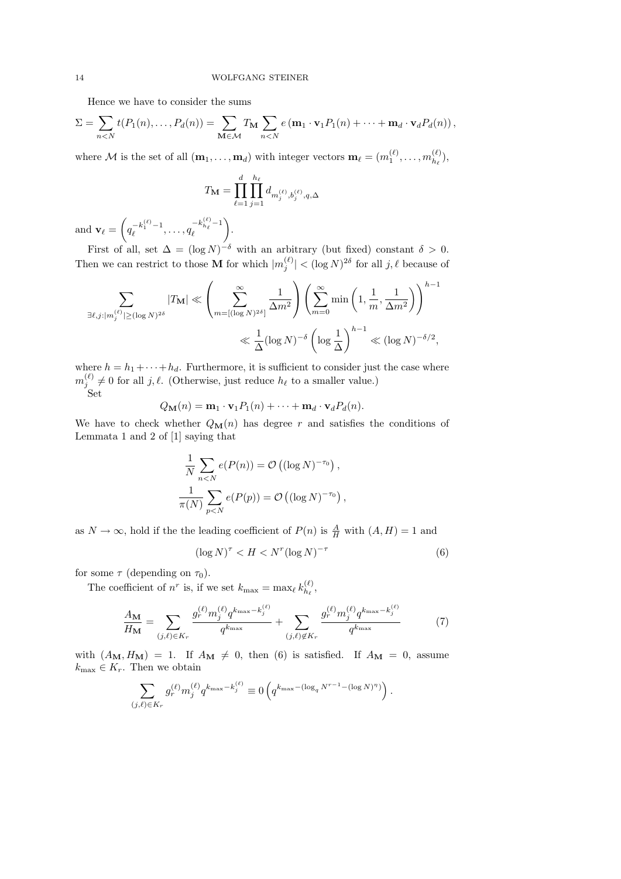Hence we have to consider the sums

$$
\Sigma = \sum_{n < N} t(P_1(n), \dots, P_d(n)) = \sum_{\mathbf{M} \in \mathcal{M}} T_{\mathbf{M}} \sum_{n < N} e(\mathbf{m}_1 \cdot \mathbf{v}_1 P_1(n) + \dots + \mathbf{m}_d \cdot \mathbf{v}_d P_d(n)),
$$

where M is the set of all  $(\mathbf{m}_1, \ldots, \mathbf{m}_d)$  with integer vectors  $\mathbf{m}_\ell = (m_1^{(\ell)}, \ldots, m_{h_\ell}^{(\ell)})$  $\binom{k}{h_{\ell}},$ 

$$
T_{\mathbf{M}} = \prod_{\ell=1}^{d} \prod_{j=1}^{h_{\ell}} d_{m_{j}^{(\ell)}, b_{j}^{(\ell)}, q, \Delta}
$$

and  $\mathbf{v}_{\ell} = \left( q_{\ell}^{-k_1^{(\ell)}-1}, \ldots, q_{\ell}^{-k_{h_{\ell}}^{(\ell)}-1} \right)$  $\ell$ .

First of all, set  $\Delta = (\log N)^{-\delta}$  with an arbitrary (but fixed) constant  $\delta > 0$ . Then we can restrict to those **M** for which  $|m_j^{(\ell)}| < (\log N)^{2\delta}$  for all j,  $\ell$  because of

$$
\sum_{\exists \ell, j : |m_j^{(\ell)}| \ge (\log N)^{2\delta}} |T_{\mathbf{M}}| \ll \left(\sum_{m = [(\log N)^{2\delta}]}^{\infty} \frac{1}{\Delta m^2} \right) \left(\sum_{m=0}^{\infty} \min\left(1, \frac{1}{m}, \frac{1}{\Delta m^2}\right)\right)^{h-1} \ll \frac{1}{\Delta} (\log N)^{-\delta} \left(\log \frac{1}{\Delta}\right)^{h-1} \ll (\log N)^{-\delta/2},
$$

where  $h = h_1 + \cdots + h_d$ . Furthermore, it is sufficient to consider just the case where  $m_j^{(\ell)} \neq 0$  for all j,  $\ell$ . (Otherwise, just reduce  $h_\ell$  to a smaller value.) Set

$$
Q_{\mathbf{M}}(n) = \mathbf{m}_1 \cdot \mathbf{v}_1 P_1(n) + \cdots + \mathbf{m}_d \cdot \mathbf{v}_d P_d(n).
$$

We have to check whether  $Q_M(n)$  has degree r and satisfies the conditions of Lemmata 1 and 2 of [1] saying that

$$
\frac{1}{N} \sum_{n < N} e(P(n)) = \mathcal{O}\left((\log N)^{-\tau_0}\right),
$$
\n
$$
\frac{1}{\pi(N)} \sum_{p < N} e(P(p)) = \mathcal{O}\left((\log N)^{-\tau_0}\right),
$$

as  $N \to \infty$ , hold if the the leading coefficient of  $P(n)$  is  $\frac{A}{H}$  with  $(A, H) = 1$  and

$$
(\log N)^{\tau} < H < N^r (\log N)^{-\tau} \tag{6}
$$

for some  $\tau$  (depending on  $\tau_0$ ).

The coefficient of  $n^r$  is, if we set  $k_{\text{max}} = \max_{\ell} k_{h_{\ell}}^{(\ell)}$  $\frac{\kappa}{h_{\ell}}$ ,

$$
\frac{A_{\mathbf{M}}}{H_{\mathbf{M}}} = \sum_{(j,\ell)\in K_r} \frac{g_r^{(\ell)} m_j^{(\ell)} q^{k_{\max} - k_j^{(\ell)}}}{q^{k_{\max}}} + \sum_{(j,\ell)\notin K_r} \frac{g_r^{(\ell)} m_j^{(\ell)} q^{k_{\max} - k_j^{(\ell)}}}{q^{k_{\max}}} \tag{7}
$$

with  $(A_{\mathbf{M}}, H_{\mathbf{M}}) = 1$ . If  $A_{\mathbf{M}} \neq 0$ , then (6) is satisfied. If  $A_{\mathbf{M}} = 0$ , assume  $k_{\text{max}} \in K_r$ . Then we obtain

$$
\sum_{(j,\ell)\in K_r} g_r^{(\ell)} m_j^{(\ell)} q^{k_{\max} - k_j^{(\ell)}} \equiv 0 \left( q^{k_{\max} - (\log_q N^{r-1} - (\log N)^{\eta})} \right).
$$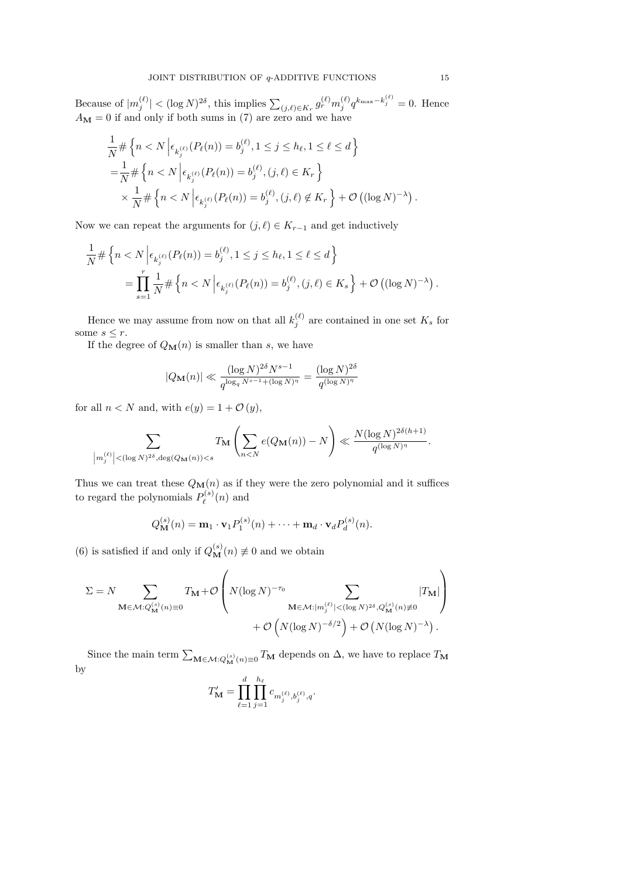Because of  $|m_j^{(\ell)}| < (\log N)^{2\delta}$ , this implies  $\sum_{(j,\ell) \in K_r} g_r^{(\ell)} m_j^{(\ell)} q^{k_{\max} - k_j^{(\ell)}} = 0$ . Hence  $A_{\mathbf{M}} = 0$  if and only if both sums in (7) are zero and we have

$$
\frac{1}{N} \# \left\{ n < N \left| \epsilon_{k_j^{(\ell)}}(P_\ell(n)) = b_j^{(\ell)}, 1 \le j \le h_\ell, 1 \le \ell \le d \right. \right\}
$$
\n
$$
= \frac{1}{N} \# \left\{ n < N \left| \epsilon_{k_j^{(\ell)}}(P_\ell(n)) = b_j^{(\ell)}, (j, \ell) \in K_r \right. \right\}
$$
\n
$$
\times \frac{1}{N} \# \left\{ n < N \left| \epsilon_{k_j^{(\ell)}}(P_\ell(n)) = b_j^{(\ell)}, (j, \ell) \notin K_r \right. \right\} + \mathcal{O}\left( (\log N)^{-\lambda} \right).
$$

Now we can repeat the arguments for  $(j, \ell) \in K_{r-1}$  and get inductively

$$
\frac{1}{N} \# \left\{ n < N \left| \epsilon_{k_j^{(\ell)}}(P_\ell(n)) = b_j^{(\ell)}, 1 \le j \le h_\ell, 1 \le \ell \le d \right. \right\}
$$
\n
$$
= \prod_{s=1}^r \frac{1}{N} \# \left\{ n < N \left| \epsilon_{k_j^{(\ell)}}(P_\ell(n)) = b_j^{(\ell)}, (j, \ell) \in K_s \right. \right\} + \mathcal{O}\left( (\log N)^{-\lambda} \right).
$$

Hence we may assume from now on that all  $k_j^{(\ell)}$  are contained in one set  $K_s$  for some  $s \leq r$ .

If the degree of  $Q_{\mathbf{M}}(n)$  is smaller than s, we have

$$
|Q_{\mathbf{M}}(n)| \ll \frac{(\log N)^{2\delta}N^{s-1}}{q^{\log_q N^{s-1} + (\log N)^{\eta}}} = \frac{(\log N)^{2\delta}}{q^{(\log N)^{\eta}}}
$$

for all  $n < N$  and, with  $e(y) = 1 + \mathcal{O}(y)$ ,

$$
\sum_{\left|m_j^{(\ell)}\right| < (\log N)^{2\delta}, \deg(Q_{\mathbf{M}}(n)) < s} T_{\mathbf{M}}\left(\sum_{n < N} e(Q_{\mathbf{M}}(n)) - N\right) \ll \frac{N(\log N)^{2\delta(h+1)}}{q^{(\log N)^{\eta}}}.
$$

Thus we can treat these  $Q_{\mathbf{M}}(n)$  as if they were the zero polynomial and it suffices to regard the polynomials  $P_{\ell}^{(s)}$  $\ell^{(s)}(n)$  and

$$
Q_{\mathbf{M}}^{(s)}(n) = \mathbf{m}_1 \cdot \mathbf{v}_1 P_1^{(s)}(n) + \cdots + \mathbf{m}_d \cdot \mathbf{v}_d P_d^{(s)}(n).
$$

(6) is satisfied if and only if  $Q_{\mathbf{M}}^{(s)}(n) \neq 0$  and we obtain

$$
\Sigma = N \sum_{\mathbf{M} \in \mathcal{M}: Q_{\mathbf{M}}^{(s)}(n) \equiv 0} T_{\mathbf{M}} + \mathcal{O}\left(N(\log N)^{-\tau_0} \sum_{\mathbf{M} \in \mathcal{M}: |m_j^{(\ell)}| < (\log N)^{2\delta}, Q_{\mathbf{M}}^{(s)}(n) \neq 0} |T_{\mathbf{M}}|\right) + \mathcal{O}\left(N(\log N)^{-\delta/2}\right) + \mathcal{O}\left(N(\log N)^{-\lambda}\right).
$$

Since the main term  $\sum_{\mathbf{M}\in\mathcal{M}: Q_{\mathbf{M}}^{(s)}(n)\equiv 0} T_{\mathbf{M}}$  depends on  $\Delta$ , we have to replace  $T_{\mathbf{M}}$ by

$$
T'_{\mathbf{M}} = \prod_{\ell=1}^d \prod_{j=1}^{h_\ell} c_{m_j^{(\ell)}, b_j^{(\ell)}, q}.
$$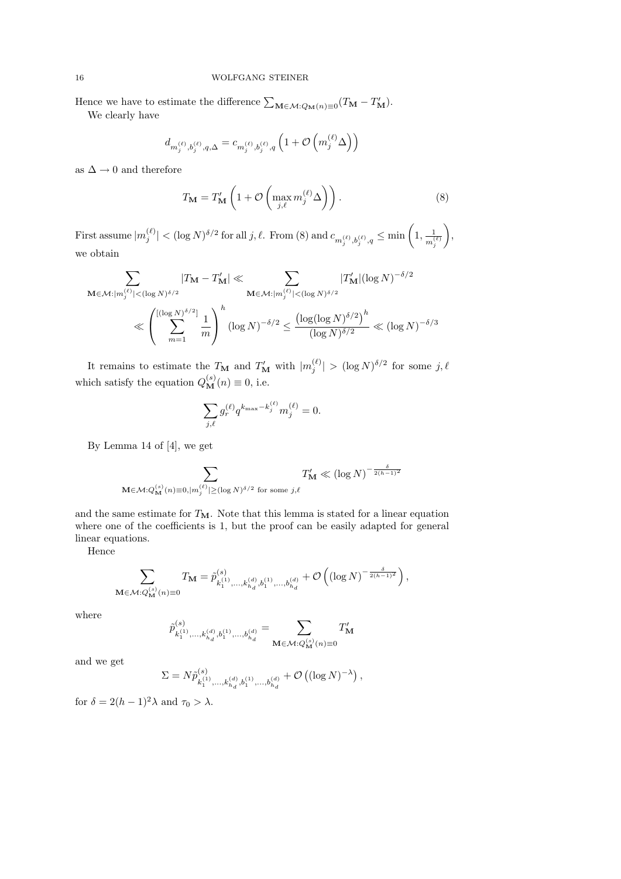### 16 WOLFGANG STEINER

Hence we have to estimate the difference  $\sum_{\mathbf{M}\in\mathcal{M}:Q_{\mathbf{M}}(n)\equiv 0}(T_{\mathbf{M}}-T_{\mathbf{M}}')$ .

We clearly have

$$
d_{m_{j}^{\left(\ell\right)},b_{j}^{\left(\ell\right)},q,\Delta}=c_{m_{j}^{\left(\ell\right)},b_{j}^{\left(\ell\right)},q}\left(1+\mathcal{O}\left(m_{j}^{\left(\ell\right)}\Delta\right)\right)
$$

as  $\Delta \rightarrow 0$  and therefore

$$
T_{\mathbf{M}} = T'_{\mathbf{M}} \left( 1 + \mathcal{O} \left( \max_{j,\ell} m_j^{(\ell)} \Delta \right) \right). \tag{8}
$$

First assume  $|m_j^{(\ell)}| < (\log N)^{\delta/2}$  for all j,  $\ell$ . From (8) and  $c_{m_j^{(\ell)},b_j^{(\ell)},q} \le \min\left(1,\frac{1}{m_j^{(\ell)}}\right)$  $m_j^{(\ell)}$  $\bigg),$ we obtain

$$
\sum_{\mathbf{M}\in\mathcal{M}:|m_j^{(\ell)}|<(\log N)^{\delta/2}}|T_{\mathbf{M}}-T_{\mathbf{M}}'| \ll \sum_{\mathbf{M}\in\mathcal{M}:|m_j^{(\ell)}|<(\log N)^{\delta/2}}|T_{\mathbf{M}}'|(\log N)^{-\delta/2}
$$

$$
\ll \left(\sum_{m=1}^{[(\log N)^{\delta/2}]} \frac{1}{m}\right)^h (\log N)^{-\delta/2} \le \frac{(\log(\log N)^{\delta/2})^h}{(\log N)^{\delta/2}} \ll (\log N)^{-\delta/3}
$$

It remains to estimate the  $T_{\mathbf{M}}$  and  $T'_{\mathbf{M}}$  with  $|m_j^{(\ell)}| > (\log N)^{\delta/2}$  for some  $j, \ell$ which satisfy the equation  $Q_{\mathbf{M}}^{(s)}(n) \equiv 0$ , i.e.

$$
\sum_{j,\ell} g_r^{(\ell)} q^{k_{\max} - k_j^{(\ell)}} m_j^{(\ell)} = 0.
$$

By Lemma 14 of [4], we get

$$
\sum_{\mathbf{M}\in\mathcal{M}: Q_{\mathbf{M}}^{(s)}(n)\equiv 0, |m_j^{(\ell)}|\geq (\log N)^{\delta/2}\text{ for some }j,\ell}T'_{\mathbf{M}}\ll \left(\log N\right)^{-\frac{\delta}{2(h-1)^2}}
$$

and the same estimate for  $T_M$ . Note that this lemma is stated for a linear equation where one of the coefficients is 1, but the proof can be easily adapted for general linear equations.

Hence

$$
\sum_{\mathbf{M}\in \mathcal{M}: Q_{\mathbf{M}}^{(s)}(n)\equiv 0}T_{\mathbf{M}}=\tilde{p}^{(s)}_{k_{1}^{(1)},\ldots,k_{h_{d}}^{(d)},b_{1}^{(1)},\ldots,b_{h_{d}}^{(d)}}+\mathcal{O}\left(\left(\log N\right)^{-\frac{\delta}{2(h-1)^{2}}}\right),
$$

where

$$
\tilde{p}^{(s)}_{k_{1}^{(1)},\ldots,k_{h_{d}}^{(d)},b_{1}^{(1)},\ldots,b_{h_{d}}^{(d)}}=\sum_{\mathbf{M}\in\mathcal{M}:Q_{\mathbf{M}}^{(s)}(n)\equiv 0}T_{\mathbf{M}}^{\prime}
$$

and we get

$$
\Sigma = N \tilde{p}_{k_1^{(1)},...,k_{h_d}^{(d)},b_1^{(1)},...,b_{h_d}^{(d)}}^{(s)} + \mathcal{O}\left((\log N)^{-\lambda}\right),
$$

for  $\delta = 2(h-1)^2 \lambda$  and  $\tau_0 > \lambda$ .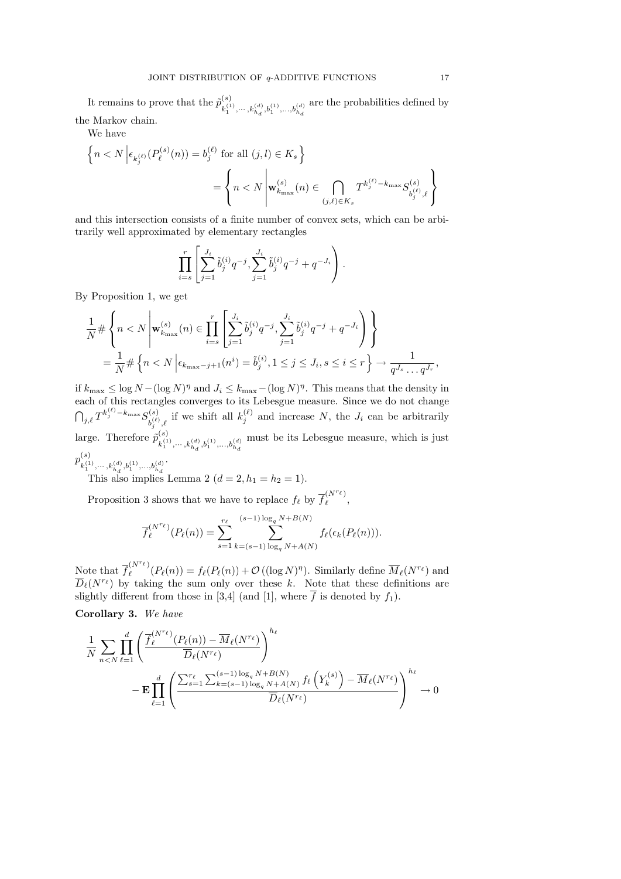It remains to prove that the  $\tilde{p}_{i}^{(s)}$  $k_1^{(1)}, \cdots, k_{h_d}^{(d)}, b_1^{(1)}, \ldots, b_{h_d}^{(d)}$ are the probabilities defined by the Markov chain.

We have

$$
\begin{aligned} \Big\{n< N\,\Big|\epsilon_{k^{(\ell)}_j}\big(P^{(s)}_{\ell}(n)\big) &= b^{(\ell)}_j \text{ for all } (j,l)\in K_s\,\Big\}\\ &= \Bigg\{n< N\, \Bigg|\mathbf{w}^{(s)}_{k_{\max}}(n)\in \bigcap_{(j,\ell)\in K_s} T^{k^{(\ell)}_j-k_{\max}} S^{(s)}_{b^{(\ell)}_j,\ell}\Bigg\} \end{aligned}
$$

and this intersection consists of a finite number of convex sets, which can be arbitrarily well approximated by elementary rectangles

$$
\prod_{i=s}^r \left[ \sum_{j=1}^{J_i} \tilde{b}_j^{(i)} q^{-j}, \sum_{j=1}^{J_i} \tilde{b}_j^{(i)} q^{-j} + q^{-J_i} \right).
$$

By Proposition 1, we get

$$
\frac{1}{N} \# \left\{ n < N \, \middle| \, \mathbf{w}_{k_{\max}}^{(s)}(n) \in \prod_{i=s}^{r} \left[ \sum_{j=1}^{J_i} \tilde{b}_j^{(i)} q^{-j}, \sum_{j=1}^{J_i} \tilde{b}_j^{(i)} q^{-j} + q^{-J_i} \right] \right\} \\
= \frac{1}{N} \# \left\{ n < N \, \middle| \, \epsilon_{k_{\max}-j+1}(n^i) = \tilde{b}_j^{(i)}, 1 \leq j \leq J_i, s \leq i \leq r \right\} \to \frac{1}{q^{J_s} \dots q^{J_r}},
$$

if  $k_{\max} \leq \log N - (\log N)^{\eta}$  and  $J_i \leq k_{\max} - (\log N)^{\eta}$ . This means that the density in each of this rectangles converges to its Lebesgue measure. Since we do not change  $\bigcap_{j,\ell} T^{k_j^{(\ell)}-k_{\max}}S_{h^{(\ell)}}^{(s)}$  $b_j^{(s)}_{j,\ell}$ , if we shift all  $k_j^{(\ell)}$  and increase N, the  $J_i$  can be arbitrarily large. Therefore  $\tilde{p}_{i}^{(s)}$  $k_1^{(1)}, \cdots, k_{h_d}^{(d)}, b_1^{(1)}, \ldots, b_{h_d}^{(d)}$ must be its Lebesgue measure, which is just  $p_{\tau(1)}^{(s)}$ .

 $k_1^{(1)}, \cdots, k_{h_d}^{(d)}, b_1^{(1)}, \ldots, b_{h_d}^{(d)}$ This also implies Lemma 2  $(d = 2, h_1 = h_2 = 1)$ .

Proposition 3 shows that we have to replace  $f_{\ell}$  by  $\overline{f}_{\ell}^{(N^{r_{\ell}})}$  $\begin{pmatrix} 1 & 1 \\ 1 & 1 \end{pmatrix}$ 

$$
\overline{f}_{\ell}^{(N^{r_{\ell}})}(P_{\ell}(n)) = \sum_{s=1}^{r_{\ell}} \sum_{k=(s-1)\log_q N + A(N)}^{(s-1)\log_q N + B(N)} f_{\ell}(\epsilon_k(P_{\ell}(n))).
$$

Note that  $\overline{f}_{\ell}^{(N^{r_{\ell}})}$  $\mathcal{F}^{(N^{\ell})}_{\ell}(P_{\ell}(n)) = f_{\ell}(P_{\ell}(n)) + \mathcal{O}((\log N)^{\eta}).$  Similarly define  $\overline{M}_{\ell}(N^{r_{\ell}})$  and  $\overline{D}_{\ell}(N^{r_{\ell}})$  by taking the sum only over these k. Note that these definitions are slightly different from those in [3,4] (and [1], where  $\overline{f}$  is denoted by  $f_1$ ).

Corollary 3. We have

$$
\frac{1}{N} \sum_{n < N} \prod_{\ell=1}^{d} \left( \frac{\overline{f}_{\ell}^{(N^{r_{\ell}})}(P_{\ell}(n)) - \overline{M}_{\ell}(N^{r_{\ell}})}{\overline{D}_{\ell}(N^{r_{\ell}})} \right)^{h_{\ell}} - \mathbf{E} \prod_{\ell=1}^{d} \left( \frac{\sum_{s=1}^{r_{\ell}} \sum_{s=1}^{(s-1) \log_{q} N + B(N)} f_{\ell} \left(Y_{k}^{(s)}\right) - \overline{M}_{\ell}(N^{r_{\ell}})}{\overline{D}_{\ell}(N^{r_{\ell}})} \right)^{h_{\ell}} \to 0
$$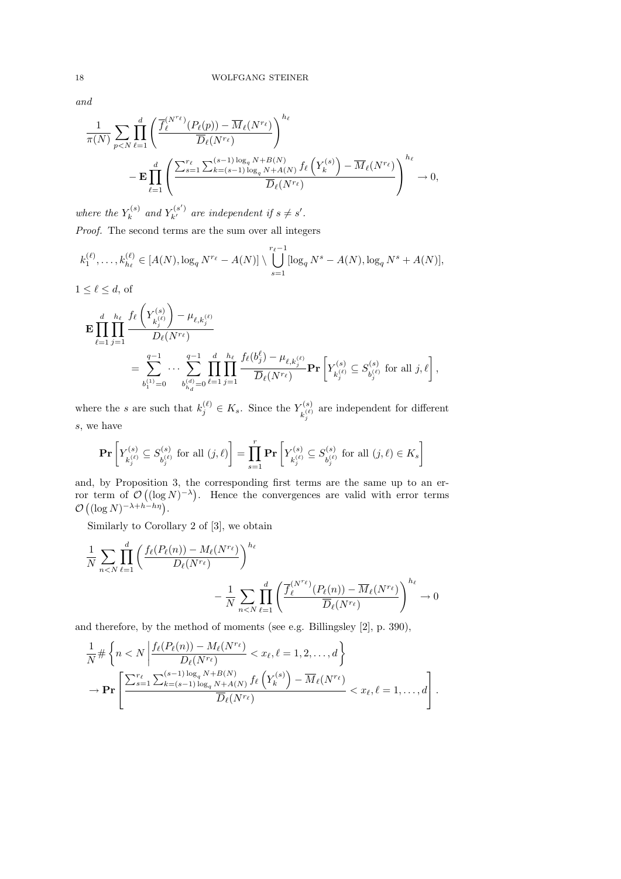and

$$
\frac{1}{\pi(N)} \sum_{p
$$

where the  $Y_k^{(s)}$  $Y_k^{(s)}$  and  $Y_{k'}^{(s')}$  are independent if  $s \neq s'.$ Proof. The second terms are the sum over all integers

$$
k_1^{(\ell)}, \ldots, k_{h_\ell}^{(\ell)} \in [A(N), \log_q N^{r_\ell} - A(N)] \setminus \bigcup_{s=1}^{r_\ell-1} [\log_q N^s - A(N), \log_q N^s + A(N)],
$$

 $1 \leq \ell \leq d$ , of

$$
\begin{split} \mathbf{E}\prod_{\ell=1}^d \prod_{j=1}^{h_\ell} &\frac{f_\ell\left(Y_{k_j^{(\ell)}}^{(s)}\right)-\mu_{\ell,k_j^{(\ell)}}}{D_\ell(N^{r_\ell})} \\ &=\sum_{b_1^{(1)}=0}^{q-1}\cdots \sum_{b_{h_d}^{(d)}=0}^{q-1} \prod_{\ell=1}^d \prod_{j=1}^{h_\ell} \frac{f_\ell(b_j^\ell)-\mu_{\ell,k_j^{(\ell)}}}{\overline{D}_\ell(N^{r_\ell})} \mathbf{Pr}\left[Y_{k_j^{(\ell)}}^{(s)}\subseteq S_{b_j^{(\ell)}}^{(s)} \text{ for all } j, \ell\right], \end{split}
$$

where the s are such that  $k_j^{(\ell)} \in K_s$ . Since the  $Y_{\nu^{(\ell)}}^{(s)}$  $\kappa_{i}^{(s)}$  are independent for different s, we have

$$
\mathbf{Pr}\left[Y_{k_j^{(\ell)}}^{(s)} \subseteq S_{b_j^{(\ell)}}^{(s)} \text{ for all } (j,\ell)\right] = \prod_{s=1}^r \mathbf{Pr}\left[Y_{k_j^{(\ell)}}^{(s)} \subseteq S_{b_j^{(\ell)}}^{(s)} \text{ for all } (j,\ell) \in K_s\right]
$$

and, by Proposition 3, the corresponding first terms are the same up to an error term of  $\mathcal{O}((\log N)^{-\lambda})$ . Hence the convergences are valid with error terms  $\mathcal{O}\left((\log N)^{-\lambda+h-h\eta}\right).$ 

Similarly to Corollary 2 of [3], we obtain

d

$$
\frac{1}{N} \sum_{n < N} \prod_{\ell=1}^d \left( \frac{f_\ell(P_\ell(n)) - M_\ell(N^{r_\ell})}{D_\ell(N^{r_\ell})} \right)^{h_\ell} - \frac{1}{N} \sum_{n < N} \prod_{\ell=1}^d \left( \frac{\overline{f}_\ell^{(N^{r_\ell})}(P_\ell(n)) - \overline{M}_\ell(N^{r_\ell})}{\overline{D}_\ell(N^{r_\ell})} \right)^{h_\ell} \to 0
$$

and therefore, by the method of moments (see e.g. Billingsley [2], p. 390),

$$
\frac{1}{N} \# \left\{ n < N \left| \frac{f_{\ell}(P_{\ell}(n)) - M_{\ell}(N^{r_{\ell}})}{D_{\ell}(N^{r_{\ell}})} < x_{\ell}, \ell = 1, 2, \dots, d \right\} \right\}
$$
\n
$$
\to \mathbf{Pr} \left[ \frac{\sum_{s=1}^{r_{\ell}} \sum_{k=(s-1)}^{(s-1) \log_{q} N + B(N)} f_{\ell}\left(Y_{k}^{(s)}\right) - \overline{M}_{\ell}(N^{r_{\ell}})}{\overline{D}_{\ell}(N^{r_{\ell}})} < x_{\ell}, \ell = 1, \dots, d \right].
$$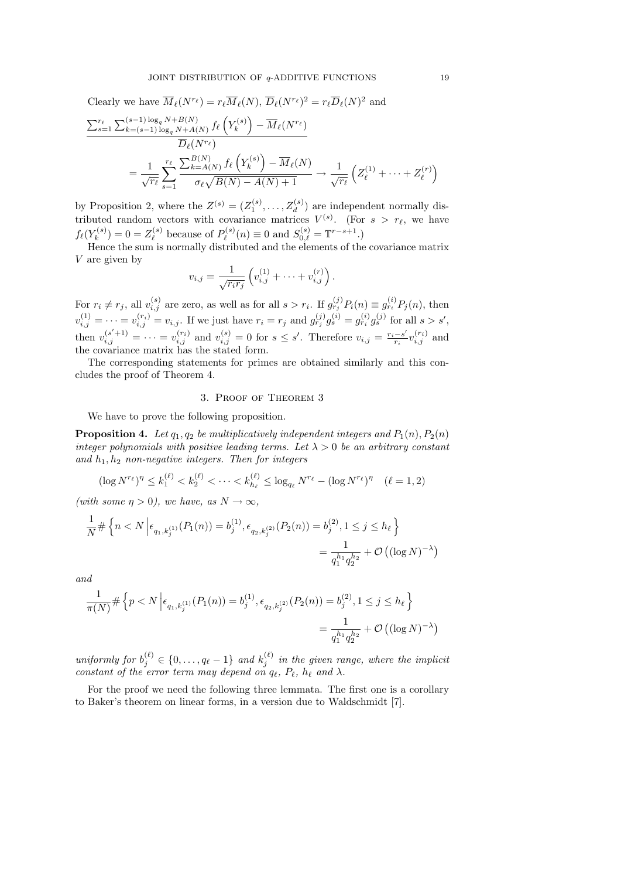Clearly we have  $\overline{M}_{\ell}(N^{r_{\ell}}) = r_{\ell} \overline{M}_{\ell}(N), \overline{D}_{\ell}(N^{r_{\ell}})^{2} = r_{\ell} \overline{D}_{\ell}(N)^{2}$  and  $\sum_{s=1}^{r_{\ell}} \sum_{k=(s-1)\log_q N+B(N)}^{(s-1)\log_q N+B(N)} f_{\ell} \left(Y_{k}^{(s)}\right)$  $\overline{M}_\ell\big(N^{r_\ell}\big) - \overline{M}_\ell(N^{r_\ell})$  $\overline{D}_\ell(N^{r_\ell})$  $=\frac{1}{2}$  $r_\ell$  $\sum_{\ell}$  $s=1$  $\sum_{k=A(N)}^{B(N)} f_{\ell} \left(Y_k^{(s)}\right)$  $\overline{M}_k^{(s)}\Big) - \overline{M}_{\ell}(N)$  $\sigma_\ell\sqrt{B(N)-A(N)+1}$  $\rightarrow \frac{1}{\sqrt{2}}$  $\overline{r_{\ell}}$  $\left( Z_{\ell}^{(1)} + \cdots + Z_{\ell}^{(r)} \right)$  $\binom{r}{\ell}$ 

by Proposition 2, where the  $Z^{(s)} = (Z_1^{(s)}, \ldots, Z_d^{(s)})$  are independent normally distributed random vectors with covariance matrices  $V^{(s)}$ . (For  $s > r_{\ell}$ , we have  $f_{\ell}(Y_k^{(s)}$  $(z_k^{(s)}) = 0 = Z_\ell^{(s)}$  $P_{\ell}^{(s)}$  because of  $P_{\ell}^{(s)}$  $S_{\ell}^{(s)}(n) \equiv 0$  and  $S_{0,\ell}^{(s)} = \mathbb{T}^{r-s+1}$ .)

Hence the sum is normally distributed and the elements of the covariance matrix V are given by

$$
v_{i,j} = \frac{1}{\sqrt{r_i r_j}} \left( v_{i,j}^{(1)} + \dots + v_{i,j}^{(r)} \right).
$$

For  $r_i \neq r_j$ , all  $v_{i,j}^{(s)}$  are zero, as well as for all  $s > r_i$ . If  $g_{r_j}^{(j)}P_i(n) \equiv g_{r_i}^{(i)}P_j(n)$ , then  $v_{i,j}^{(1)} = \cdots = v_{i,j}^{(r_i)} = v_{i,j}$ . If we just have  $r_i = r_j$  and  $g_{r_j}^{(j)} g_s^{(i)} = g_{r_i}^{(i)} g_s^{(j)}$  for all  $s > s'$ , then  $v_{i,j}^{(s'+1)} = \cdots = v_{i,j}^{(r_i)}$  and  $v_{i,j}^{(s)} = 0$  for  $s \leq s'$ . Therefore  $v_{i,j} = \frac{r_i - s'}{r_i}$  $\frac{-s'}{r_i}v_{i,j}^{(r_i)}$  and the covariance matrix has the stated form.

The corresponding statements for primes are obtained similarly and this concludes the proof of Theorem 4.

### 3. Proof of Theorem 3

We have to prove the following proposition.

**Proposition 4.** Let  $q_1, q_2$  be multiplicatively independent integers and  $P_1(n), P_2(n)$ integer polynomials with positive leading terms. Let  $\lambda > 0$  be an arbitrary constant and  $h_1, h_2$  non-negative integers. Then for integers

$$
(\log N^{r_{\ell}})^{\eta} \le k_1^{(\ell)} < k_2^{(\ell)} < \cdots < k_{h_{\ell}}^{(\ell)} \le \log_{q_{\ell}} N^{r_{\ell}} - (\log N^{r_{\ell}})^{\eta} \quad (\ell = 1, 2)
$$

(with some  $\eta > 0$ ), we have, as  $N \to \infty$ ,

$$
\frac{1}{N} \# \left\{ n < N \left| \epsilon_{q_1, k_j^{(1)}}(P_1(n)) = b_j^{(1)}, \epsilon_{q_2, k_j^{(2)}}(P_2(n)) = b_j^{(2)}, 1 \le j \le h_\ell \right\} \right\}
$$
\n
$$
= \frac{1}{q_1^{h_1} q_2^{h_2}} + \mathcal{O}\left( (\log N)^{-\lambda} \right)
$$

and

$$
\frac{1}{\pi(N)} \# \left\{ p < N \left| \epsilon_{q_1, k_j^{(1)}}(P_1(n)) = b_j^{(1)}, \epsilon_{q_2, k_j^{(2)}}(P_2(n)) = b_j^{(2)}, 1 \le j \le h_\ell \right. \right\}
$$
\n
$$
= \frac{1}{q_1^{h_1} q_2^{h_2}} + \mathcal{O}\left( (\log N)^{-\lambda} \right)
$$

uniformly for  $b_j^{(\ell)} \in \{0, \ldots, q_\ell - 1\}$  and  $k_j^{(\ell)}$  in the given range, where the implicit constant of the error term may depend on  $q_\ell, P_\ell, h_\ell$  and  $\lambda$ .

For the proof we need the following three lemmata. The first one is a corollary to Baker's theorem on linear forms, in a version due to Waldschmidt [7].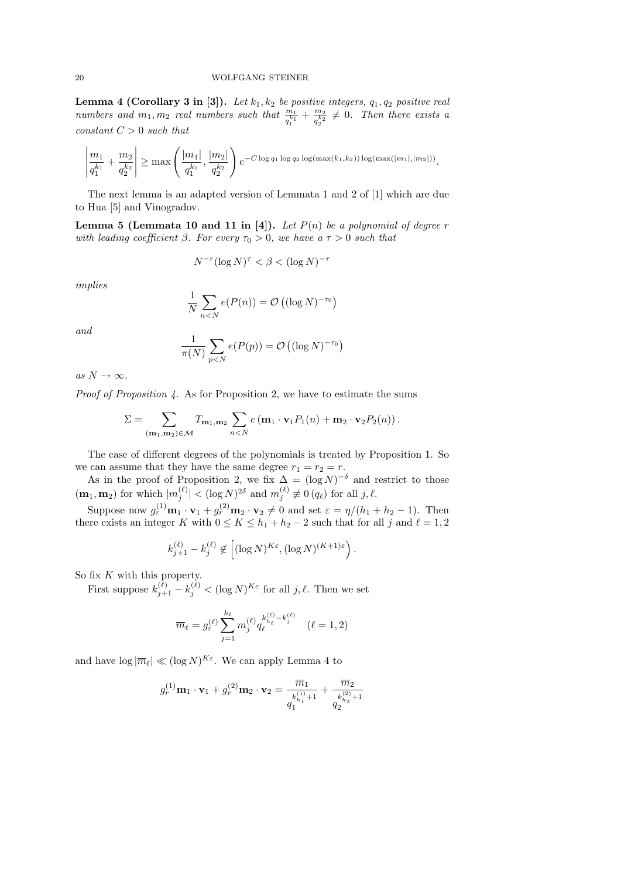**Lemma 4 (Corollary 3 in [3]).** Let  $k_1, k_2$  be positive integers,  $q_1, q_2$  positive real numbers and  $m_1, m_2$  real numbers such that  $\frac{m_1}{q_1^{k_1}} + \frac{m_2}{q_2^{k_2}}$  $\frac{m_2}{q_2} \neq 0$ . Then there exists a  $constant C > 0$  such that

$$
\left|\frac{m_1}{q_1^{k_1}} + \frac{m_2}{q_2^{k_2}}\right| \ge \max\left(\frac{|m_1|}{q_1^{k_1}}, \frac{|m_2|}{q_2^{k_2}}\right) e^{-C \log q_1 \log q_2 \log(\max(k_1, k_2)) \log(\max(|m_1|, |m_2|))}.
$$

The next lemma is an adapted version of Lemmata 1 and 2 of [1] which are due to Hua [5] and Vinogradov.

**Lemma 5 (Lemmata 10 and 11 in [4]).** Let  $P(n)$  be a polynomial of degree r with leading coefficient  $\beta$ . For every  $\tau_0 > 0$ , we have a  $\tau > 0$  such that

$$
N^{-r} (\log N)^{\tau} < \beta < (\log N)^{-\tau}
$$

implies

$$
\frac{1}{N} \sum_{n < N} e(P(n)) = \mathcal{O}\left((\log N)^{-\tau_0}\right)
$$

and

$$
\frac{1}{\pi(N)}\sum_{p
$$

as  $N \to \infty$ .

Proof of Proposition 4. As for Proposition 2, we have to estimate the sums

$$
\Sigma = \sum_{(\mathbf{m}_1, \mathbf{m}_2) \in \mathcal{M}} T_{\mathbf{m}_1, \mathbf{m}_2} \sum_{n < N} e(\mathbf{m}_1 \cdot \mathbf{v}_1 P_1(n) + \mathbf{m}_2 \cdot \mathbf{v}_2 P_2(n)).
$$

The case of different degrees of the polynomials is treated by Proposition 1. So we can assume that they have the same degree  $r_1 = r_2 = r$ .

As in the proof of Proposition 2, we fix  $\Delta = (\log N)^{-\delta}$  and restrict to those  $(\mathbf{m}_1, \mathbf{m}_2)$  for which  $|m_j^{(\ell)}| < (\log N)^{2\delta}$  and  $m_j^{(\ell)} \not\equiv 0$  (q<sub>e</sub>) for all j,  $\ell$ .

Suppose now  $g_r^{(1)}\mathbf{m}_1 \cdot \mathbf{v}_1 + g_r^{(2)}\mathbf{m}_2 \cdot \mathbf{v}_2 \neq 0$  and set  $\varepsilon = \eta/(h_1 + h_2 - 1)$ . Then there exists an integer K with  $0 \leq K \leq h_1 + h_2 - 2$  such that for all j and  $\ell = 1, 2$ 

$$
k_{j+1}^{(\ell)} - k_j^{(\ell)} \notin \left[ (\log N)^{K\varepsilon}, (\log N)^{(K+1)\varepsilon} \right).
$$

So fix  $K$  with this property.

First suppose  $k_{j+1}^{(\ell)} - k_j^{(\ell)} < (\log N)^{K \varepsilon}$  for all  $j, \ell$ . Then we set

$$
\overline{m}_{\ell} = g_{r}^{(\ell)}\sum_{j=1}^{h_{\ell}}m_{j}^{(\ell)}q_{\ell}^{k_{h_{\ell}}^{(\ell)} - k_{j}^{(\ell)}} \quad (\ell = 1, 2)
$$

and have  $\log |\overline{m}_{\ell}| \ll (\log N)^{K_{\varepsilon}}$ . We can apply Lemma 4 to

$$
g_r^{(1)}\mathbf{m}_1 \cdot \mathbf{v}_1 + g_r^{(2)}\mathbf{m}_2 \cdot \mathbf{v}_2 = \frac{\overline{m}_1}{g_1^{k_{h_1}^{(1)}+1}} + \frac{\overline{m}_2}{g_2^{k_{h_2}^{(2)}+1}}
$$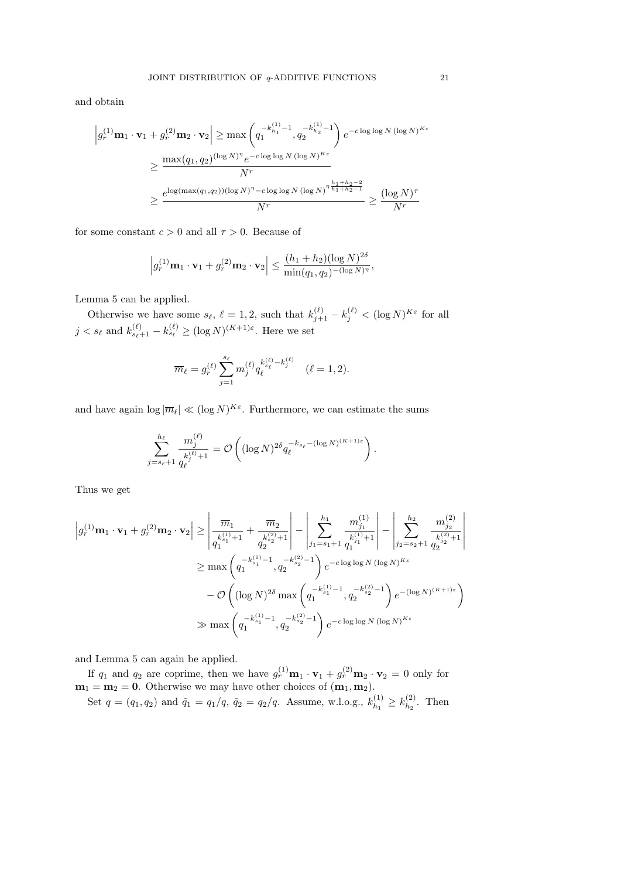and obtain

$$
\left| g_r^{(1)} \mathbf{m}_1 \cdot \mathbf{v}_1 + g_r^{(2)} \mathbf{m}_2 \cdot \mathbf{v}_2 \right| \ge \max \left( q_1^{-k_{h_1}^{(1)} - 1}, q_2^{-k_{h_2}^{(1)} - 1} \right) e^{-c \log \log N (\log N)^{K \epsilon}}
$$
  

$$
\ge \frac{\max(q_1, q_2)^{(\log N)^{\eta}} e^{-c \log \log N (\log N)^{K \epsilon}}}{N^r}
$$
  

$$
\ge \frac{e^{\log(\max(q_1, q_2))(\log N)^{\eta} - c \log \log N (\log N)^{\eta} \frac{h_1 + h_2 - 2}{h_1 + h_2 - 1}}}{N^r} \ge \frac{(\log N)^{\tau}}{N^r}
$$

for some constant  $c > 0$  and all  $\tau > 0$ . Because of

$$
\left|g_r^{(1)}\mathbf{m}_1\cdot\mathbf{v}_1+g_r^{(2)}\mathbf{m}_2\cdot\mathbf{v}_2\right| \leq \frac{(h_1+h_2)(\log N)^{2\delta}}{\min(q_1,q_2)^{-(\log N)^{\eta}}},
$$

Lemma 5 can be applied.

Otherwise we have some  $s_{\ell}$ ,  $\ell = 1, 2$ , such that  $k_{j+1}^{(\ell)} - k_j^{(\ell)} < (\log N)^{K_{\epsilon}}$  for all  $j < s_{\ell}$  and  $k_{s_{\ell}+1}^{(\ell)} - k_{s_{\ell}}^{(\ell)} \ge (\log N)^{(K+1)\varepsilon}$ . Here we set

$$
\overline{m}_{\ell} = g_r^{(\ell)} \sum_{j=1}^{s_{\ell}} m_j^{(\ell)} q_{\ell}^{k_{s_{\ell}}^{(\ell)} - k_j^{(\ell)}} \quad (\ell = 1, 2).
$$

and have again  $\log |\overline{m}_{\ell}| \ll (\log N)^{K_{\varepsilon}}$ . Furthermore, we can estimate the sums

$$
\sum_{j=s_{\ell}+1}^{h_{\ell}} \frac{m_j^{(\ell)}}{q_{\ell}^{(s)}+1} = \mathcal{O}\left((\log N)^{2\delta} q_{\ell}^{-k_{s_{\ell}}-(\log N)^{(K+1)\epsilon}}\right).
$$

Thus we get

$$
\left| g_r^{(1)} \mathbf{m}_1 \cdot \mathbf{v}_1 + g_r^{(2)} \mathbf{m}_2 \cdot \mathbf{v}_2 \right| \ge \left| \frac{\overline{m}_1}{q_1^{(s_1)} + 1} + \frac{\overline{m}_2}{q_2^{(s_2)} + 1} \right| - \left| \sum_{j_1 = s_1 + 1}^{h_1} \frac{m_{j_1}^{(1)}}{q_1^{(s_1)} + 1} \right| - \left| \sum_{j_2 = s_2 + 1}^{h_2} \frac{m_{j_2}^{(2)}}{q_2^{(s_2)} + 1} \right|
$$
  
\n
$$
\ge \max \left( q_1^{-k_{s_1}^{(1)} - 1}, q_2^{-k_{s_2}^{(2)} - 1} \right) e^{-c \log \log N (\log N)^{K \varepsilon}}
$$
  
\n
$$
- \mathcal{O}\left( (\log N)^{2\delta} \max \left( q_1^{-k_{s_1}^{(1)} - 1}, q_2^{-k_{s_2}^{(2)} - 1} \right) e^{-(\log N)^{(K+1)\varepsilon}} \right)
$$
  
\n
$$
\gg \max \left( q_1^{-k_{s_1}^{(1)} - 1}, q_2^{-k_{s_2}^{(2)} - 1} \right) e^{-c \log \log N (\log N)^{K \varepsilon}}
$$

and Lemma 5 can again be applied.

If  $q_1$  and  $q_2$  are coprime, then we have  $g_r^{(1)}\mathbf{m}_1 \cdot \mathbf{v}_1 + g_r^{(2)}\mathbf{m}_2 \cdot \mathbf{v}_2 = 0$  only for  $m_1 = m_2 = 0$ . Otherwise we may have other choices of  $(m_1, m_2)$ .

Set  $q = (q_1, q_2)$  and  $\tilde{q}_1 = q_1/q$ ,  $\tilde{q}_2 = q_2/q$ . Assume, w.l.o.g.,  $k_{h_1}^{(1)}$  $k_{h_1}^{(1)} \geq k_{h_2}^{(2)}$  $\binom{2}{h_2}$ . Then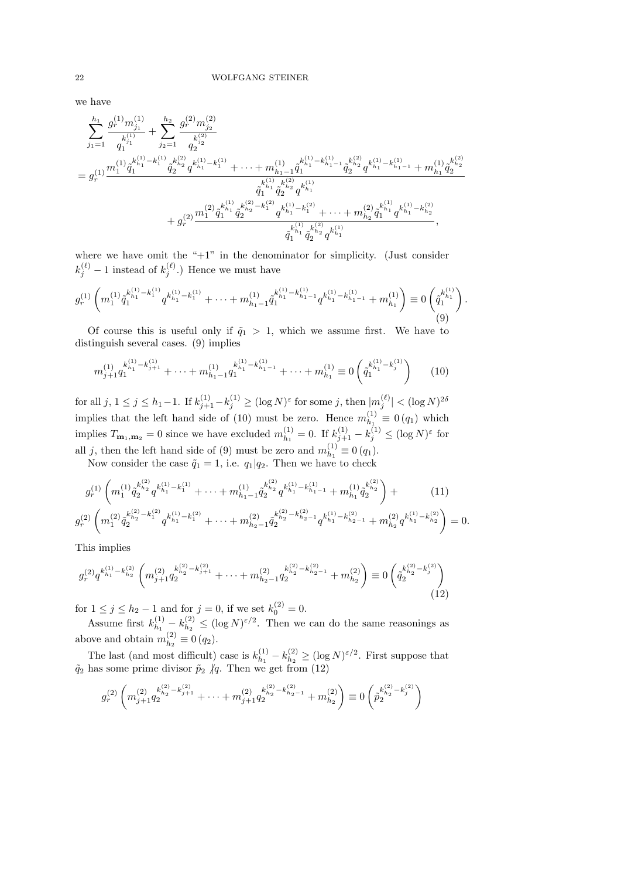we have

X h<sup>1</sup> j1=1 g (1) <sup>r</sup> m (1) j1 q k (1) j1 1 + X h<sup>2</sup> j2=1 g (2) <sup>r</sup> m (2) j2 q k (2) j2 2 = g (1) r m (1) 1 q˜ k (1) h1 −k (1) 1 1 q˜ k (2) h2 2 q k (1) h1 −k (1) <sup>1</sup> + · · · + m (1) h1−1 q˜ k (1) h1 −k (1) <sup>h</sup>1−<sup>1</sup> 1 q˜ k (2) h2 2 q k (1) h1 −k (1) <sup>h</sup>1−<sup>1</sup> + m (1) h<sup>1</sup> q˜ k (2) h2 2 q˜ k (1) h1 1 q˜ k (2) h2 2 q k (1) h1 + g (2) r m (2) 1 q˜ k (1) h1 1 q˜ k (2) h2 −k (2) 1 2 q k (1) h1 −k (2) <sup>1</sup> + · · · + m (2) h<sup>2</sup> q˜ k (1) h1 1 q k (1) h1 −k (2) h2 q˜ k (1) h1 1 q˜ k (2) h2 2 q k (1) h1 ,

where we have omit the "+1" in the denominator for simplicity. (Just consider  $k_j^{(\ell)}-1$  instead of  $k_j^{(\ell)}$ .) Hence we must have

$$
g_r^{(1)}\left(m_1^{(1)}\tilde{q}_1^{k_{h_1}^{(1)}-k_1^{(1)}}q^{k_{h_1}^{(1)}-k_1^{(1)}}+\cdots+m_{h_1-1}^{(1)}\tilde{q}_1^{k_{h_1}^{(1)}-k_{h_1-1}^{(1)}}q^{k_{h_1}^{(1)}-k_{h_1-1}^{(1)}}+m_{h_1}^{(1)}\right)\equiv 0\left(\tilde{q}_1^{k_{h_1}^{(1)}}\right).
$$
\n(9)

Of course this is useful only if  $\tilde{q}_1 > 1$ , which we assume first. We have to distinguish several cases. (9) implies

$$
m_{j+1}^{(1)} q_1^{k_{h_1}^{(1)} - k_{j+1}^{(1)}} + \dots + m_{h_1 - 1}^{(1)} q_1^{k_{h_1}^{(1)} - k_{h_1 - 1}^{(1)}} + \dots + m_{h_1}^{(1)} \equiv 0 \left( \tilde{q}_1^{k_{h_1}^{(1)} - k_j^{(1)}} \right)
$$
 (10)

 $\text{for all } j, 1 \leq j \leq h_1 - 1. \text{ If } k_{j+1}^{(1)} - k_j^{(1)} \geq (\log N)^{\varepsilon} \text{ for some } j, \text{ then } |m_j^{(\ell)}| < (\log N)^{2\delta}$ implies that the left hand side of (10) must be zero. Hence  $m_{h_1}^{(1)}$  $\binom{1}{h_1} \equiv 0 (q_1)$  which implies  $T_{\mathbf{m}_1, \mathbf{m}_2} = 0$  since we have excluded  $m_{h_1}^{(1)}$  $\lambda_{h_1}^{(1)} = 0$ . If  $k_{j+1}^{(1)} - k_j^{(1)} \leq (\log N)^{\varepsilon}$  for all j, then the left hand side of (9) must be zero and  $m_{h_1}^{(1)}$  $\binom{1}{h_1} \equiv 0 (q_1).$ 

Now consider the case  $\tilde{q}_1 = 1$ , i.e.  $q_1|q_2$ . Then we have to check

$$
g_r^{(1)}\left(m_1^{(1)}\tilde{q}_2^{k_{h_2}^{(2)}}q^{k_{h_1}^{(1)}-k_1^{(1)}} + \cdots + m_{h_1-1}^{(1)}\tilde{q}_2^{k_{h_2}^{(2)}}q^{k_{h_1}^{(1)}-k_{h_1-1}^{(1)}} + m_{h_1}^{(1)}\tilde{q}_2^{k_{h_2}^{(2)}}\right) + (11)
$$
  

$$
g_r^{(2)}\left(m_1^{(2)}\tilde{q}_2^{k_{h_2}^{(2)}-k_1^{(2)}}q^{k_{h_1}^{(1)}-k_1^{(2)}} + \cdots + m_{h_2-1}^{(2)}\tilde{q}_2^{k_{h_2}^{(2)}-k_{h_2-1}^{(2)}}q^{k_{h_1}^{(1)}-k_{h_2-1}^{(2)}} + m_{h_2}^{(2)}q^{k_{h_1}^{(1)}-k_{h_2}^{(2)}}\right) = 0.
$$

This implies

$$
g_r^{(2)}q^{k_{h_1}^{(1)} - k_{h_2}^{(2)}} \left( m_{j+1}^{(2)} q_2^{k_{h_2}^{(2)} - k_{j+1}^{(2)}} + \dots + m_{h_2-1}^{(2)} q_2^{k_{h_2}^{(2)} - k_{h_2-1}^{(2)}} + m_{h_2}^{(2)} \right) \equiv 0 \left( \tilde{q}_2^{k_{h_2}^{(2)} - k_j^{(2)}} \right)
$$
\n(12)

for  $1 \le j \le h_2 - 1$  and for  $j = 0$ , if we set  $k_0^{(2)} = 0$ .

Assume first  $k_{h_1}^{(1)}$  $\binom{(1)}{h_1}-k\binom{(2)}{h_2}$  $\lambda_{h_2}^{(2)} \leq (\log N)^{\varepsilon/2}$ . Then we can do the same reasonings as above and obtain  $m_{h_2}^{(2)}$  $\binom{2}{h_2} \equiv 0 (q_2).$ 

The last (and most difficult) case is  $k_{h_1}^{(1)}$  $\binom{(1)}{h_1}-k\binom{(2)}{h_2}$  $\binom{2}{h_2} \ge (\log N)^{\varepsilon/2}$ . First suppose that  $\tilde{q}_2$  has some prime divisor  $\tilde{p}_2$  /q. Then we get from (12)

$$
g_r^{(2)}\left(m_{j+1}^{(2)}q_2^{k_{h_2}^{(2)}-k_{j+1}^{(2)}}+\cdots+m_{j+1}^{(2)}q_2^{k_{h_2}^{(2)}-k_{h_2-1}^{(2)}}+m_{h_2}^{(2)}\right)\equiv 0\left(\tilde{p}_2^{k_{h_2}^{(2)}-k_j^{(2)}}\right)
$$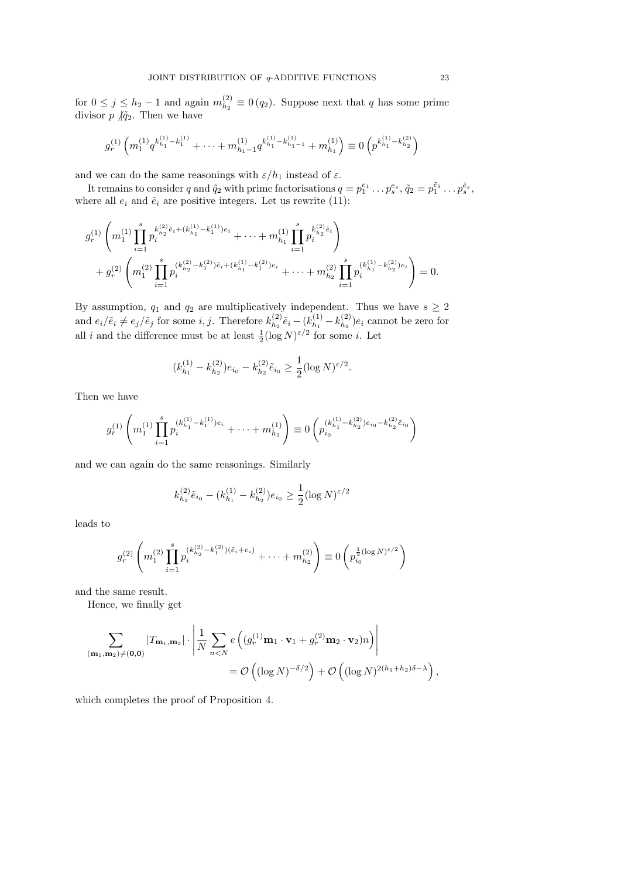for  $0 \leq j \leq h_2 - 1$  and again  $m_{h_2}^{(2)}$  $\binom{2}{h_2} \equiv 0 (q_2)$ . Suppose next that q has some prime divisor  $p \nmid \tilde{q}_2$ . Then we have

$$
g_r^{(1)}\left(m_1^{(1)}q^{k_{h_1}^{(1)}-k_1^{(1)}}+\cdots+m_{h_1-1}^{(1)}q^{k_{h_1}^{(1)}-k_{h_1-1}^{(1)}}+m_{h_1}^{(1)}\right)\equiv 0\left(p^{k_{h_1}^{(1)}-k_{h_2}^{(2)}}\right)
$$

and we can do the same reasonings with  $\varepsilon/h_1$  instead of  $\varepsilon.$ 

It remains to consider q and  $\tilde{q}_2$  with prime factorisations  $q = p_1^{e_1} \dots p_s^{e_s}$ ,  $\tilde{q}_2 = p_1^{\tilde{e}_1} \dots p_s^{\tilde{e}_s}$ , where all  $e_i$  and  $\tilde{e}_i$  are positive integers. Let us rewrite (11):

$$
g_r^{(1)}\left(m_1^{(1)}\prod_{i=1}^s p_i^{k_{h_2}^{(2)}\tilde{e}_i+(k_{h_1}^{(1)}-k_1^{(1)})e_i}+\cdots+m_{h_1}^{(1)}\prod_{i=1}^s p_i^{k_{h_2}^{(2)}\tilde{e}_i}\right) +g_r^{(2)}\left(m_1^{(2)}\prod_{i=1}^s p_i^{(k_{h_2}^{(2)}-k_1^{(2)})\tilde{e}_i+(k_{h_1}^{(1)}-k_1^{(2)})e_i}+\cdots+m_{h_2}^{(2)}\prod_{i=1}^s p_i^{(k_{h_1}^{(1)}-k_{h_2}^{(2)})e_i}\right)=0.
$$

By assumption,  $q_1$  and  $q_2$  are multiplicatively independent. Thus we have  $s \geq 2$ and  $e_i/\tilde{e}_i \neq e_j/\tilde{e}_j$  for some *i*, *j*. Therefore  $k_{h_2}^{(2)}$  $\tilde{e}_{h_2}^{(2)}$  $\tilde{e}_i - (k_{h_1}^{(1)})$  $k_{h_1}^{(1)} - k_{h_2}^{(2)}$  $\binom{2}{h_2}e_i$  cannot be zero for all *i* and the difference must be at least  $\frac{1}{2}(\log N)^{\epsilon/2}$  for some *i*. Let

$$
(k_{h_1}^{(1)} - k_{h_2}^{(2)})e_{i_0} - k_{h_2}^{(2)}\tilde{e}_{i_0} \ge \frac{1}{2}(\log N)^{\varepsilon/2}.
$$

Then we have

$$
g_r^{(1)}\left(m_1^{(1)}\prod_{i=1}^s p_i^{(k_{h_1}^{(1)}-k_1^{(1)})e_i}+\cdots+m_{h_1}^{(1)}\right)\equiv 0\left(p_{i_0}^{(k_{h_1}^{(1)}-k_{h_2}^{(2)})e_{i_0}-k_{h_2}^{(2)}\tilde{e}_{i_0}}\right)
$$

and we can again do the same reasonings. Similarly

$$
k_{h_2}^{(2)} \tilde{e}_{i_0} - (k_{h_1}^{(1)} - k_{h_2}^{(2)}) e_{i_0} \ge \frac{1}{2} (\log N)^{\varepsilon/2}
$$

leads to

$$
g_r^{(2)}\left(m_1^{(2)}\prod_{i=1}^s p_i^{(k_{h_2}^{(2)}-k_1^{(2)})(\tilde{e}_i+e_i)}+\cdots+m_{h_2}^{(2)}\right)\equiv 0\left(p_{i_0}^{\frac{1}{2}(\log N)^{\varepsilon/2}}\right)
$$

and the same result.

Hence, we finally get

$$
\sum_{(\mathbf{m}_1,\mathbf{m}_2)\neq(\mathbf{0},\mathbf{0})} |T_{\mathbf{m}_1,\mathbf{m}_2}| \cdot \left| \frac{1}{N} \sum_{n  
=  $\mathcal{O}\left( (\log N)^{-\delta/2} \right) + \mathcal{O}\left( (\log N)^{2(h_1+h_2)\delta-\lambda} \right),$
$$

which completes the proof of Proposition 4.